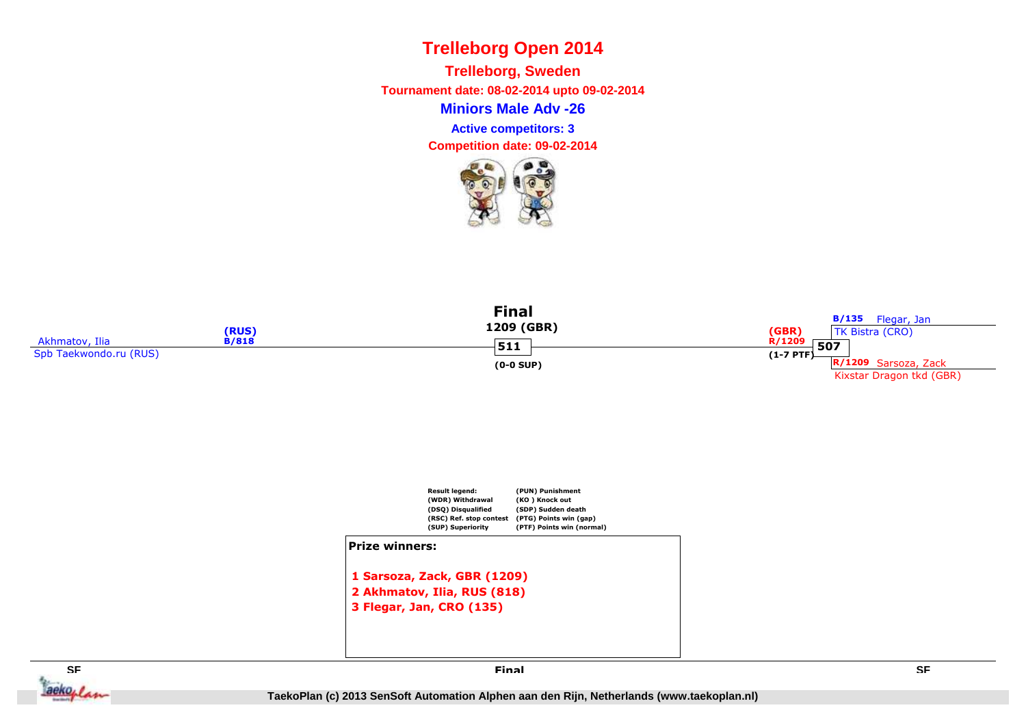**Miniors Male Adv -26Trelleborg, Sweden Tournament date: 08-02-2014 upto 09-02-2014Competition date: 09-02-2014 Active competitors: 3**









**Final**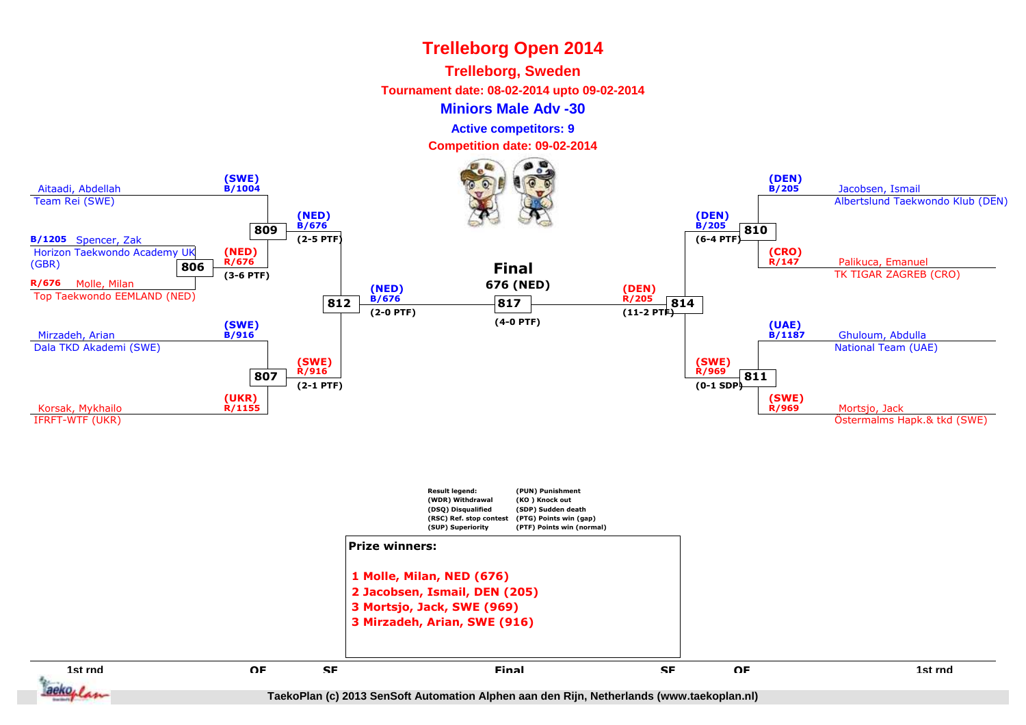#### **Trelleborg, Sweden**

**Tournament date: 08-02-2014 upto 09-02-2014**

#### **Miniors Male Adv -30**

**Active competitors: 9**

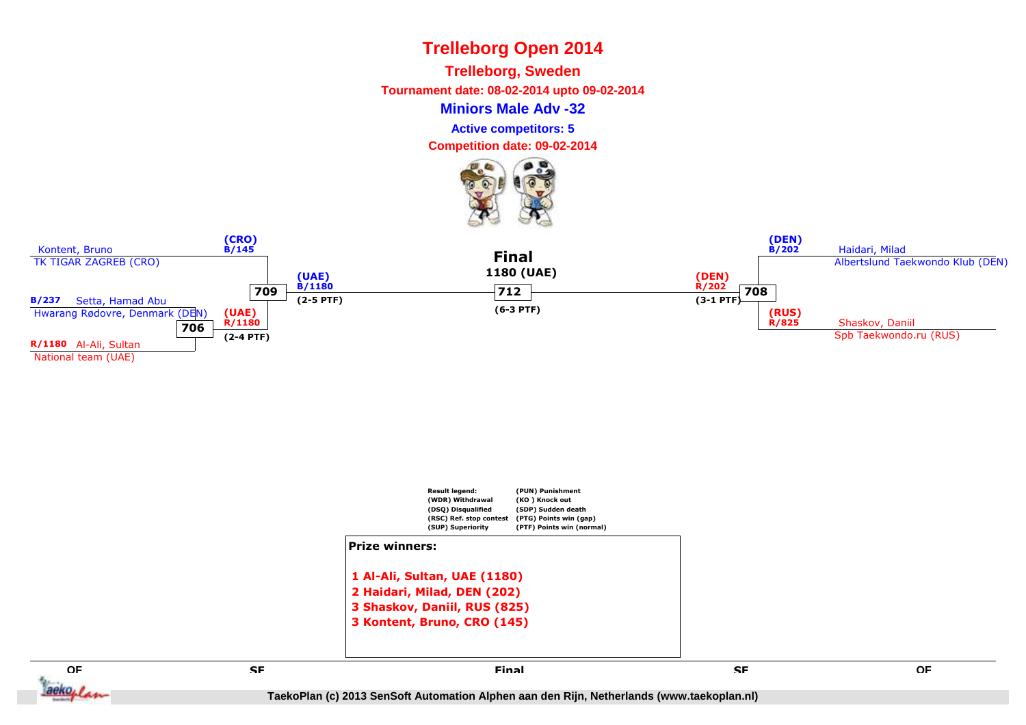**Trelleborg, Sweden**

**Tournament date: 08-02-2014 upto 09-02-2014**

**Miniors Male Adv -32**

**Active competitors: 5**

**Competition date: 09-02-2014**







**SF**

**QF**

aeko<sub>plan</sub>

**E** SE SE SE SE SE SERVICE EN L'ALGENCIA EN L'ALGENCIA EN L'ALGENCIA EN L'ALGENCIA EN L'ALGENCIA EN L'ALGENCIA<br>En la comparación de la comparación de la comparación de la comparación de la comparación de la comparación de **SF Final**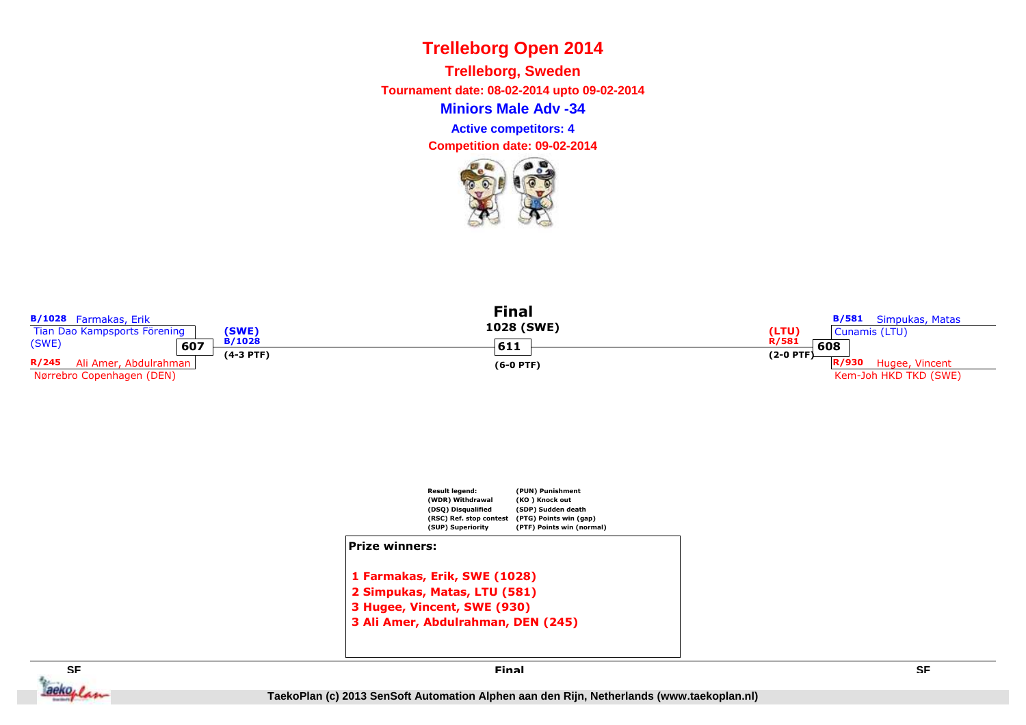**Miniors Male Adv -34Trelleborg, Sweden Tournament date: 08-02-2014 upto 09-02-2014Active competitors: 4**

**Competition date: 09-02-2014**





# **Prize winners:**

**1 Farmakas, Erik, SWE (1028) 2 Simpukas, Matas, LTU (581) 3 Hugee, Vincent, SWE (930)3 Ali Amer, Abdulrahman, DEN (245)**



**Final**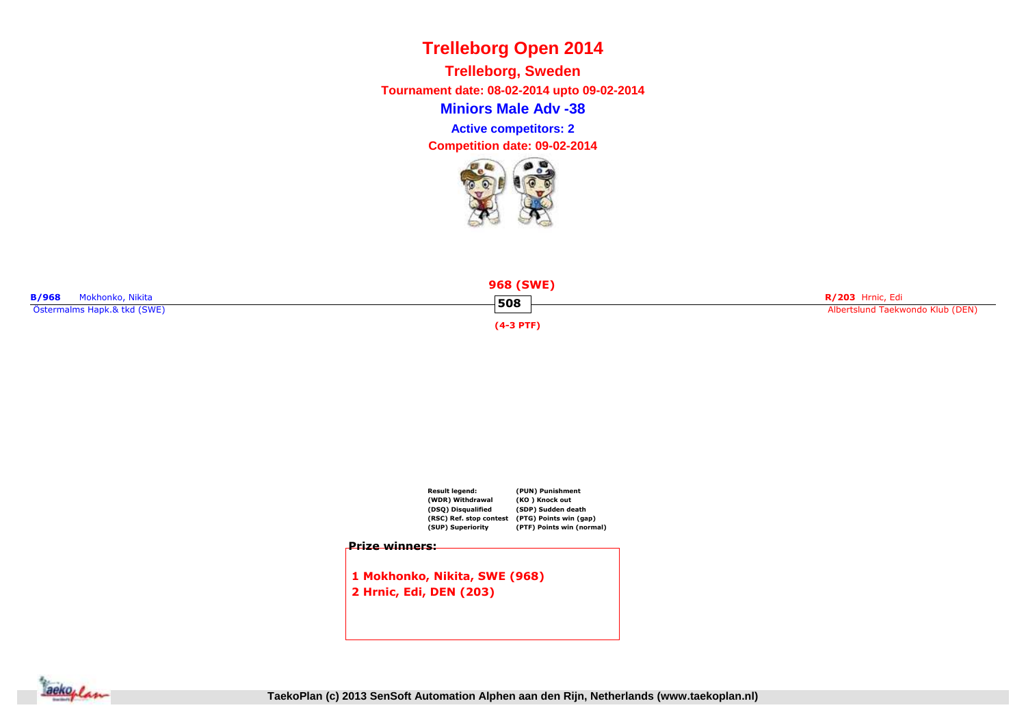**Miniors Male Adv -38Trelleborg, Sweden Tournament date: 08-02-2014 upto 09-02-2014Competition date: 09-02-2014 Active competitors: 2**







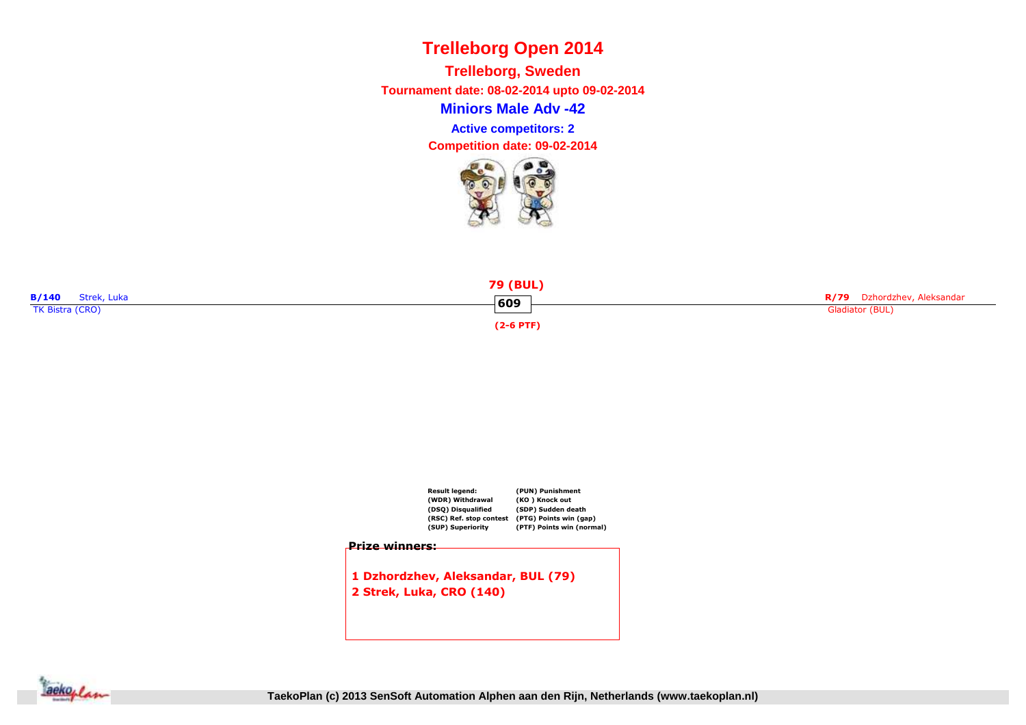**Miniors Male Adv -42Trelleborg, Sweden Tournament date: 08-02-2014 upto 09-02-2014Active competitors: 2**







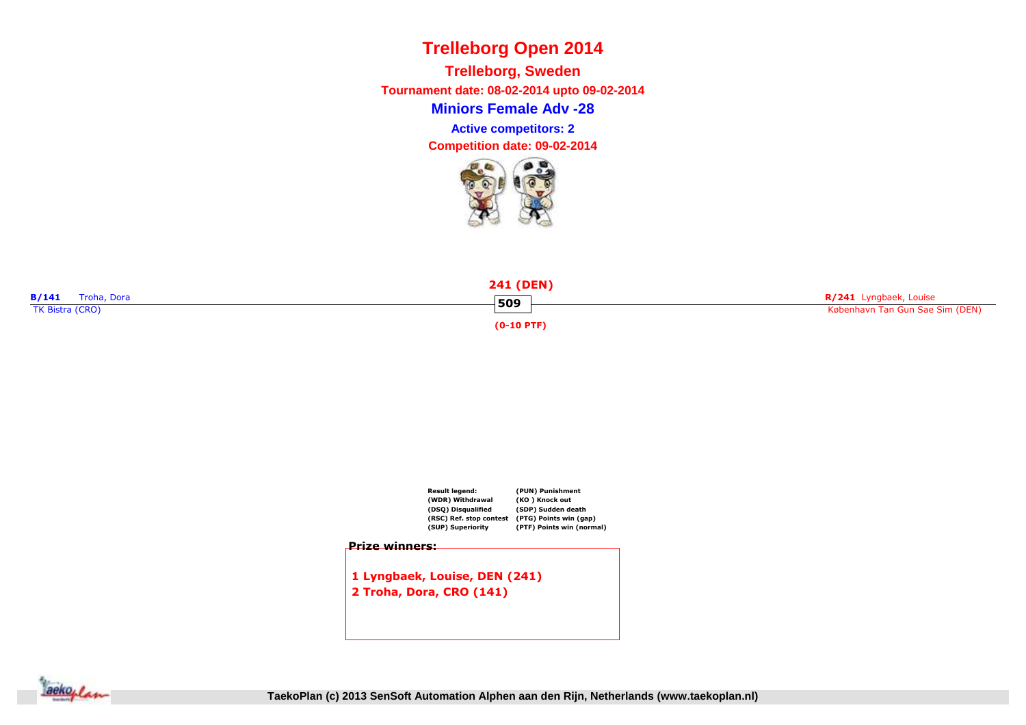**Miniors Female Adv -28Trelleborg, Sweden Tournament date: 08-02-2014 upto 09-02-2014Competition date: 09-02-2014 Active competitors: 2**







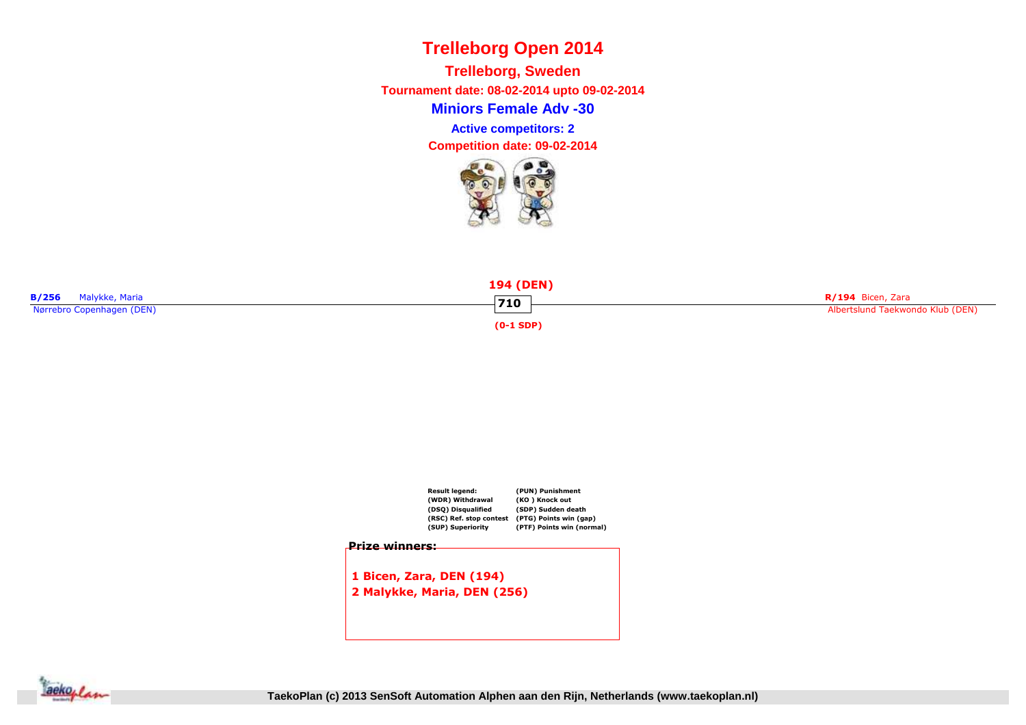**Miniors Female Adv -30Trelleborg, Sweden Tournament date: 08-02-2014 upto 09-02-2014Competition date: 09-02-2014 Active competitors: 2**







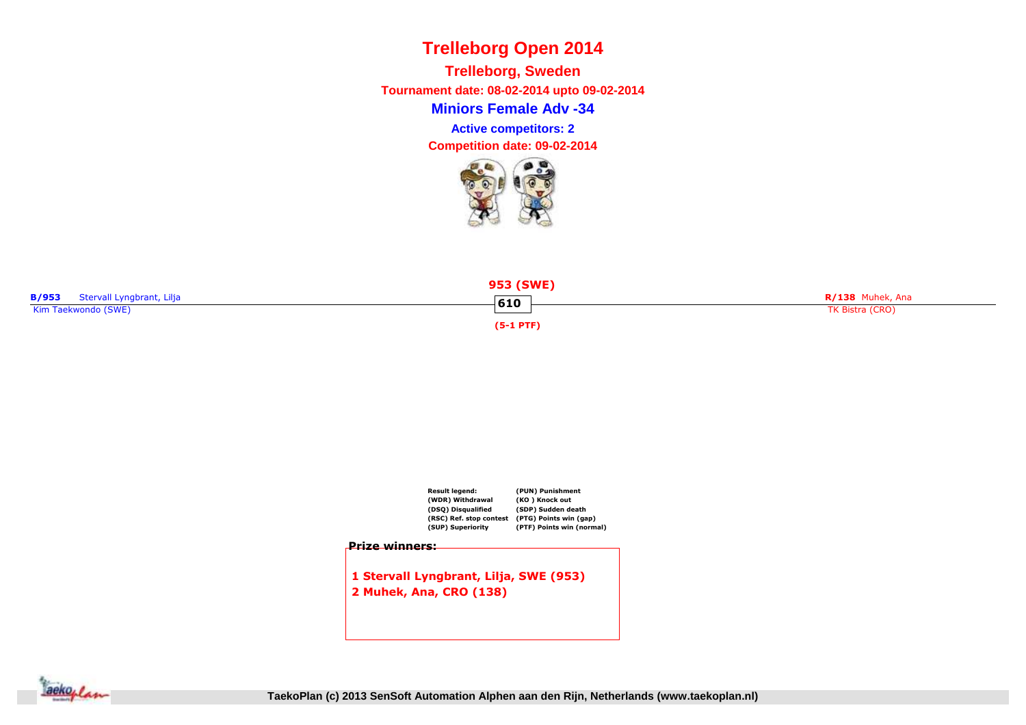**Miniors Female Adv -34Trelleborg, Sweden Tournament date: 08-02-2014 upto 09-02-2014Competition date: 09-02-2014 Active competitors: 2**







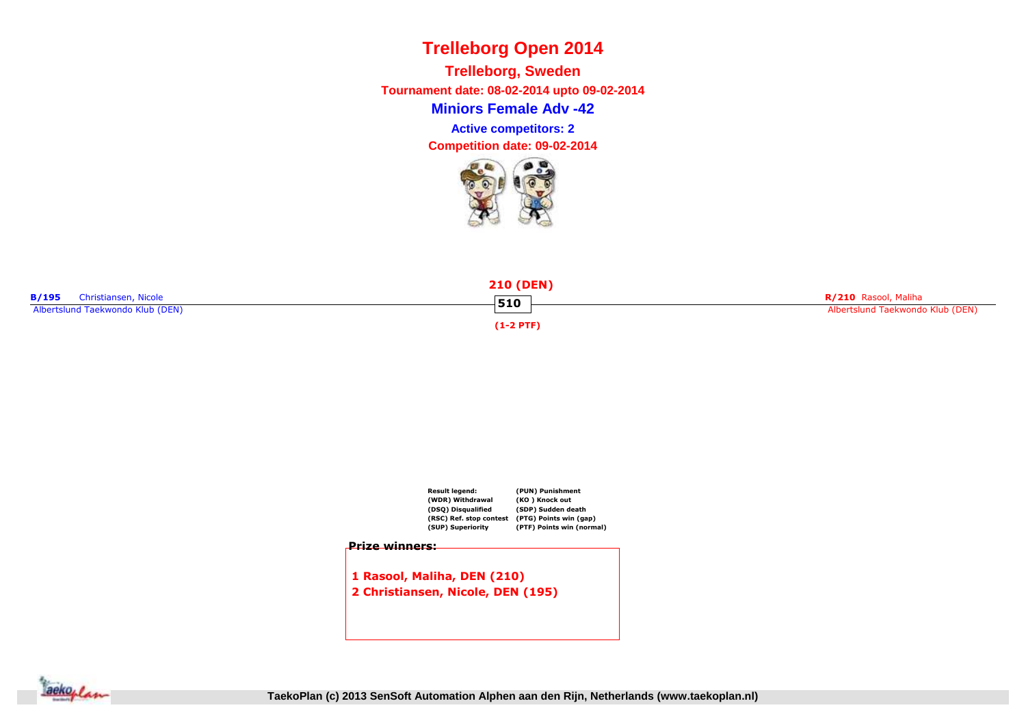**Miniors Female Adv -42Trelleborg, Sweden Tournament date: 08-02-2014 upto 09-02-2014Competition date: 09-02-2014 Active competitors: 2**







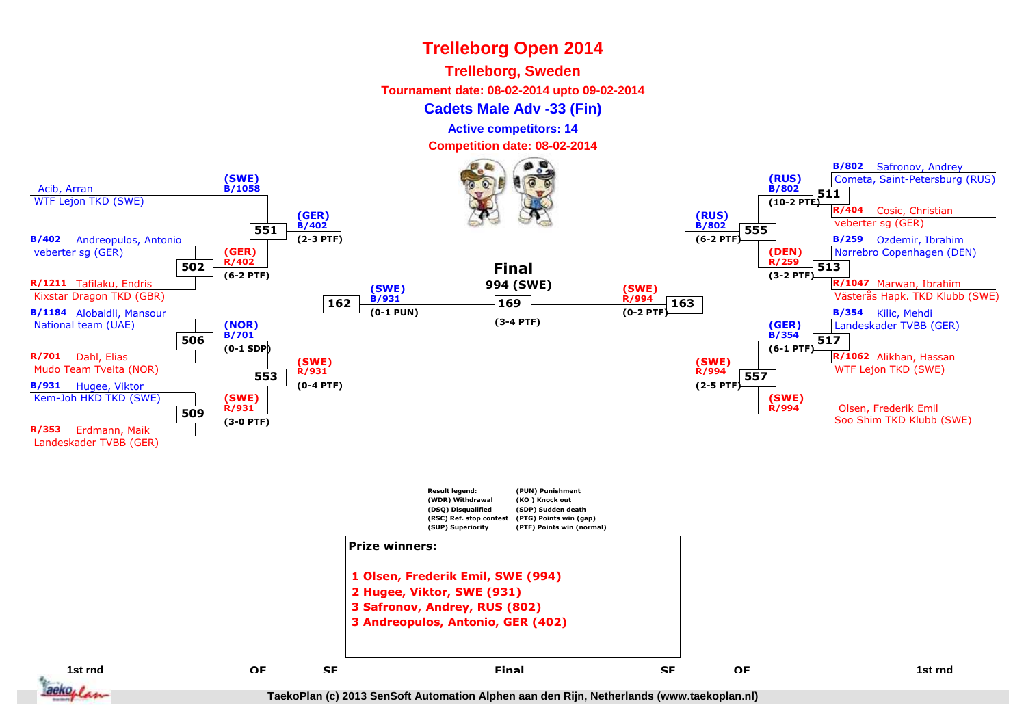#### **Trelleborg, Sweden**

**Tournament date: 08-02-2014 upto 09-02-2014**

#### **Cadets Male Adv -33 (Fin)**

**Active competitors: 14**

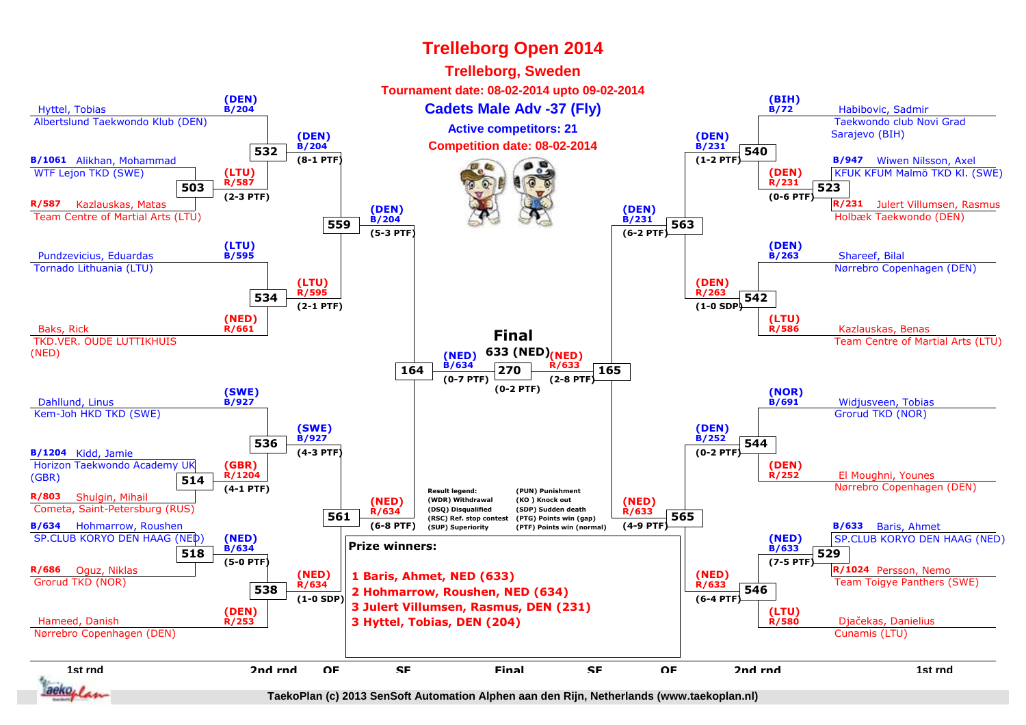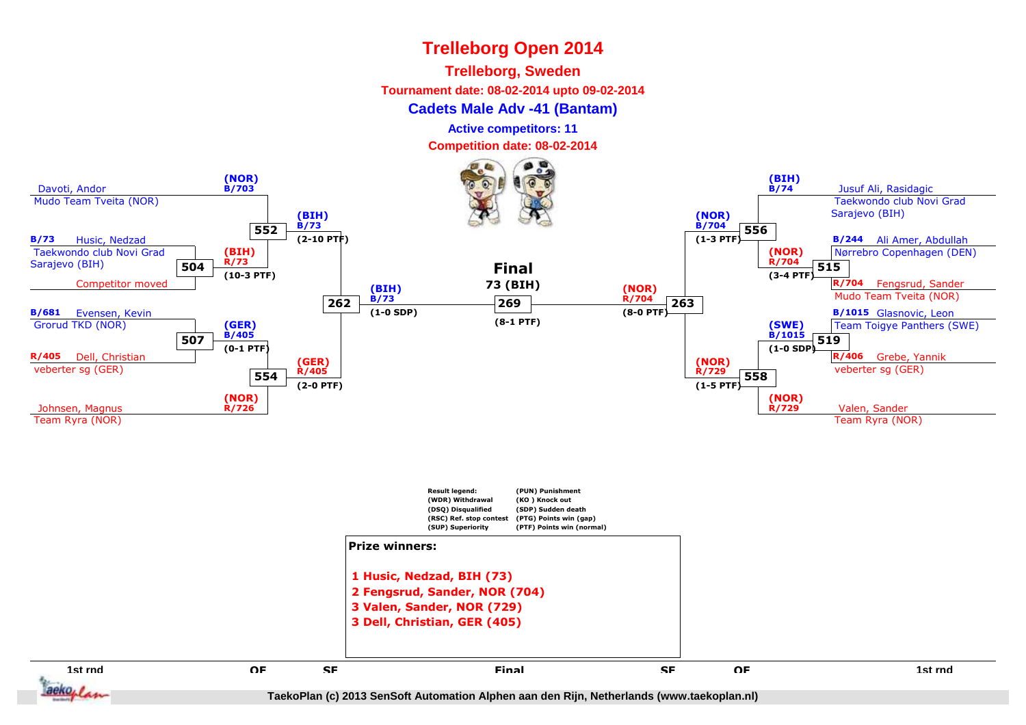#### **Trelleborg, Sweden**

**Tournament date: 08-02-2014 upto 09-02-2014**

#### **Cadets Male Adv -41 (Bantam)**

**Active competitors: 11**

**Competition date: 08-02-2014**

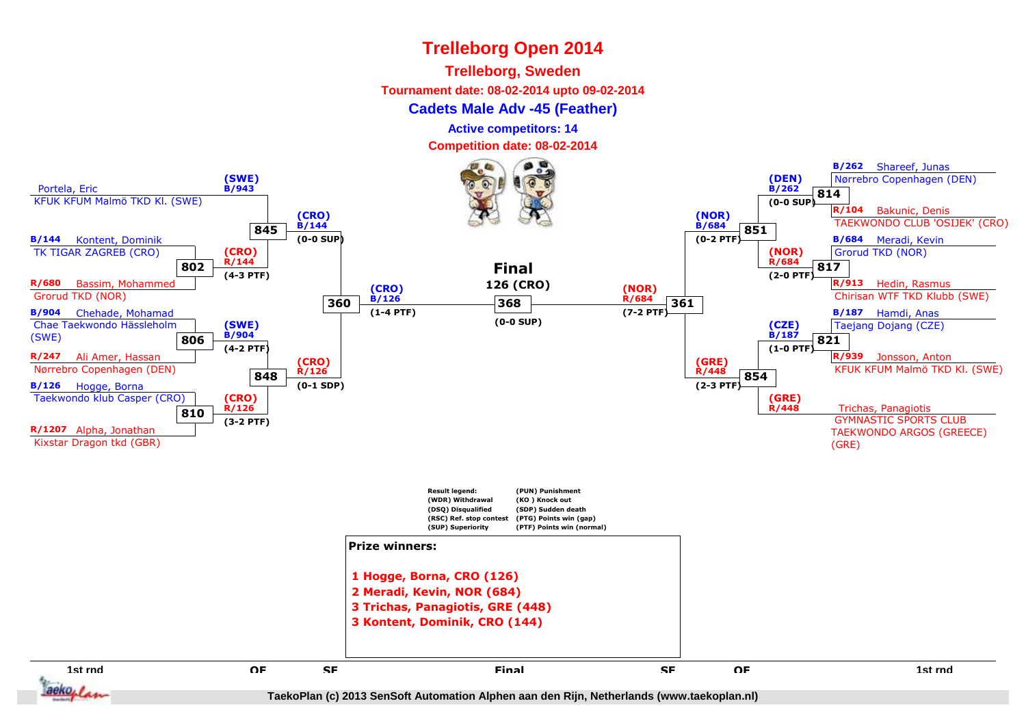#### **Trelleborg, Sweden**

**Tournament date: 08-02-2014 upto 09-02-2014**

#### **Cadets Male Adv -45 (Feather)**

**Active competitors: 14**

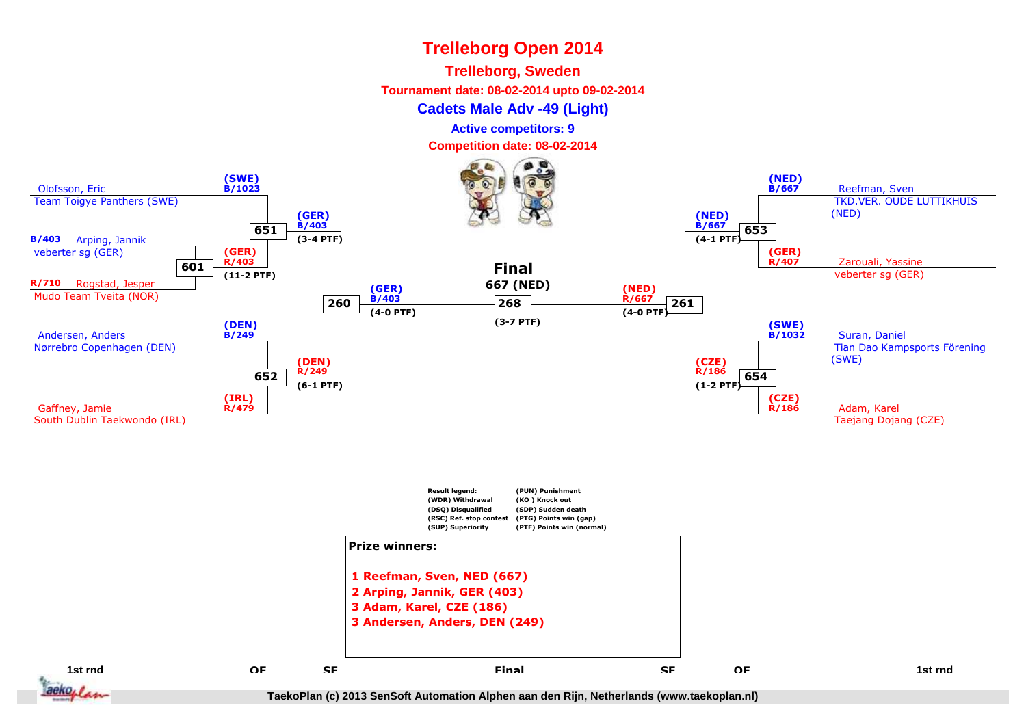#### **Trelleborg, Sweden**

**Tournament date: 08-02-2014 upto 09-02-2014**

**Cadets Male Adv -49 (Light)**

**Active competitors: 9**

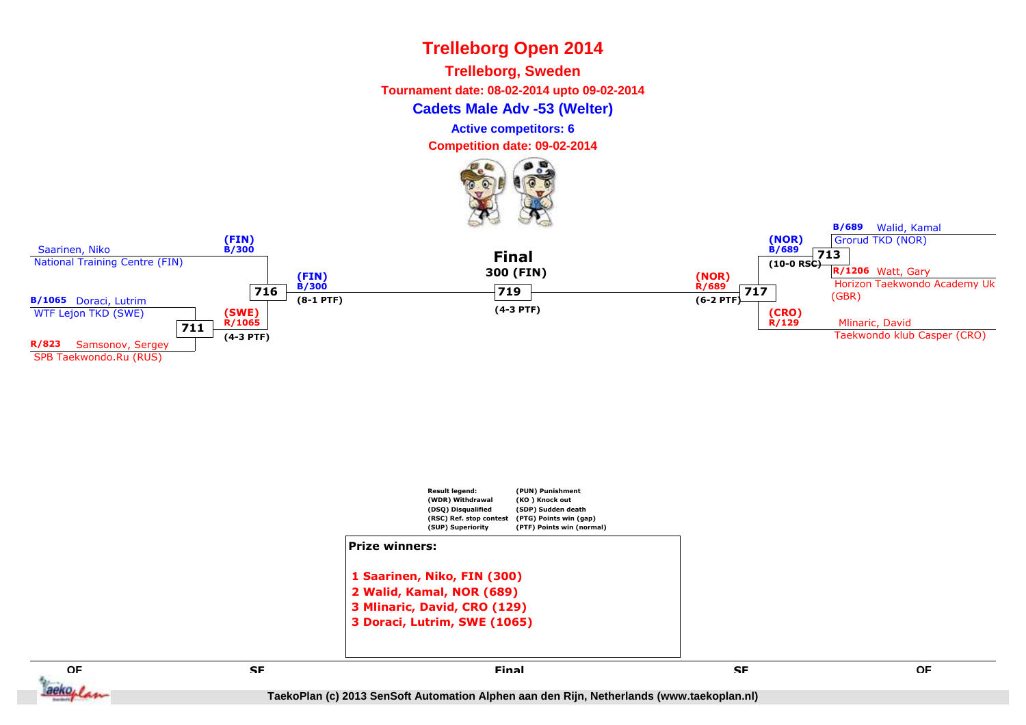**Trelleborg, Sweden**

**Tournament date: 08-02-2014 upto 09-02-2014**

**Cadets Male Adv -53 (Welter)**

**Active competitors: 6**

**Competition date: 09-02-2014**







**SF**

**QF**

aeko, L

**B/689** Walid, Kamal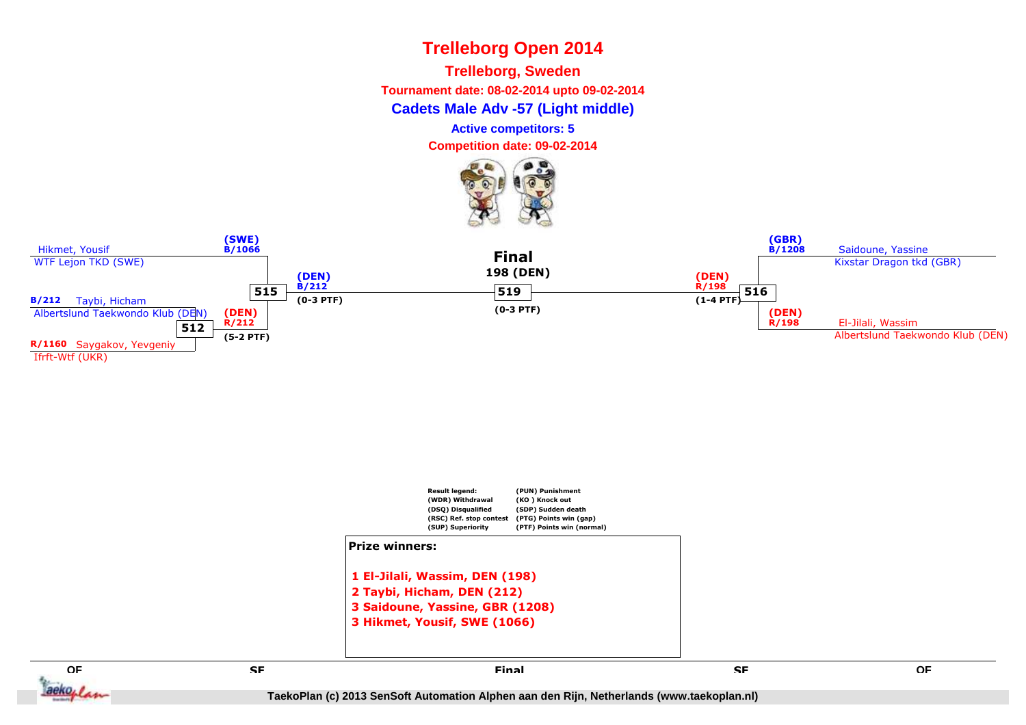**Trelleborg, Sweden**

**Tournament date: 08-02-2014 upto 09-02-2014**

**Cadets Male Adv -57 (Light middle)**

**Active competitors: 5**

**Competition date: 09-02-2014**







**QFE** SE SE SE SE SE SERVICE EN L'ALGENCIA EN L'ALGENCIA EN L'ALGENCIA EN L'ALGENCIA EN L'ALGENCIA EN L'ALGENCIA<br>En la comparación de la comparación de la comparación de la comparación de la comparación de la comparación de

aeko, L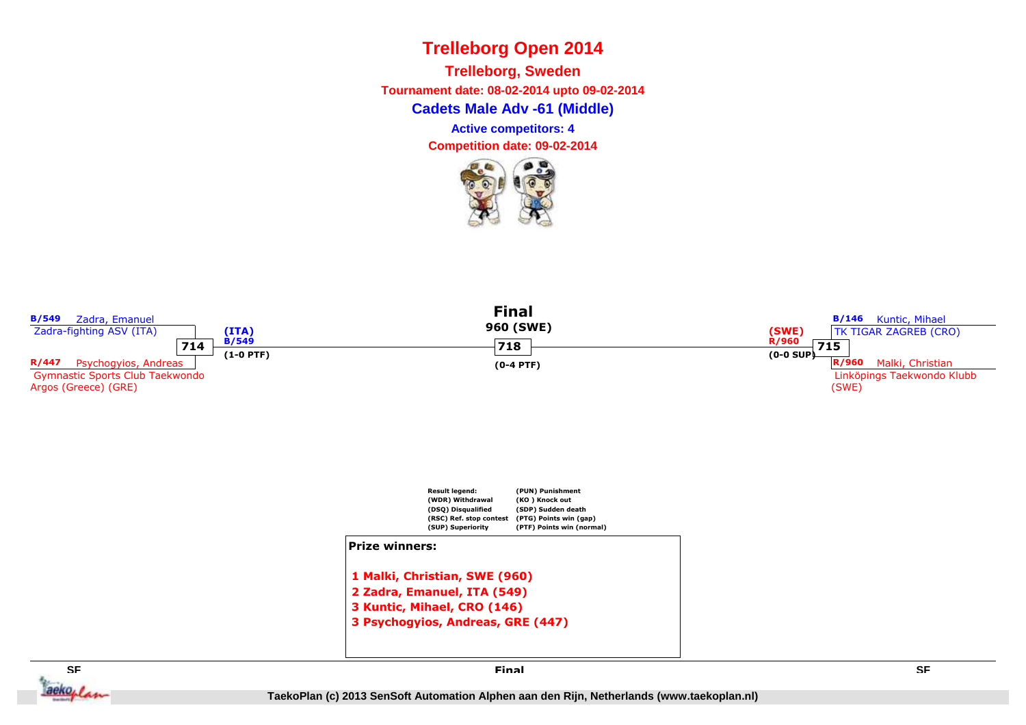**Cadets Male Adv -61 (Middle)Trelleborg, Sweden Tournament date: 08-02-2014 upto 09-02-2014Active competitors: 4**



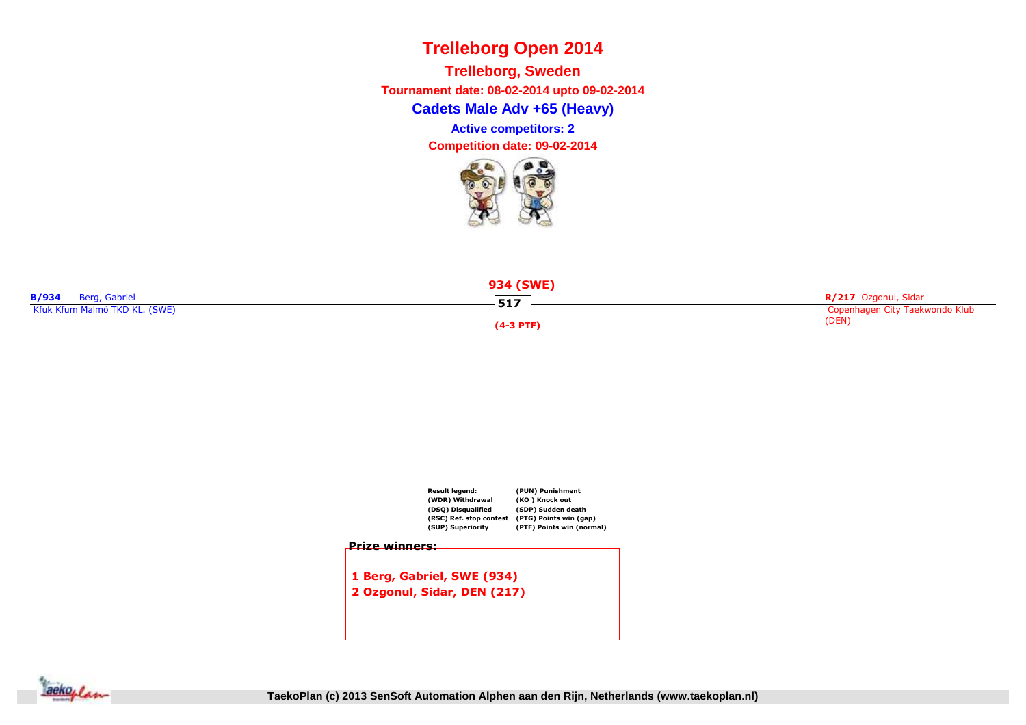**Cadets Male Adv +65 (Heavy)Trelleborg, Sweden Tournament date: 08-02-2014 upto 09-02-2014Active competitors: 2**







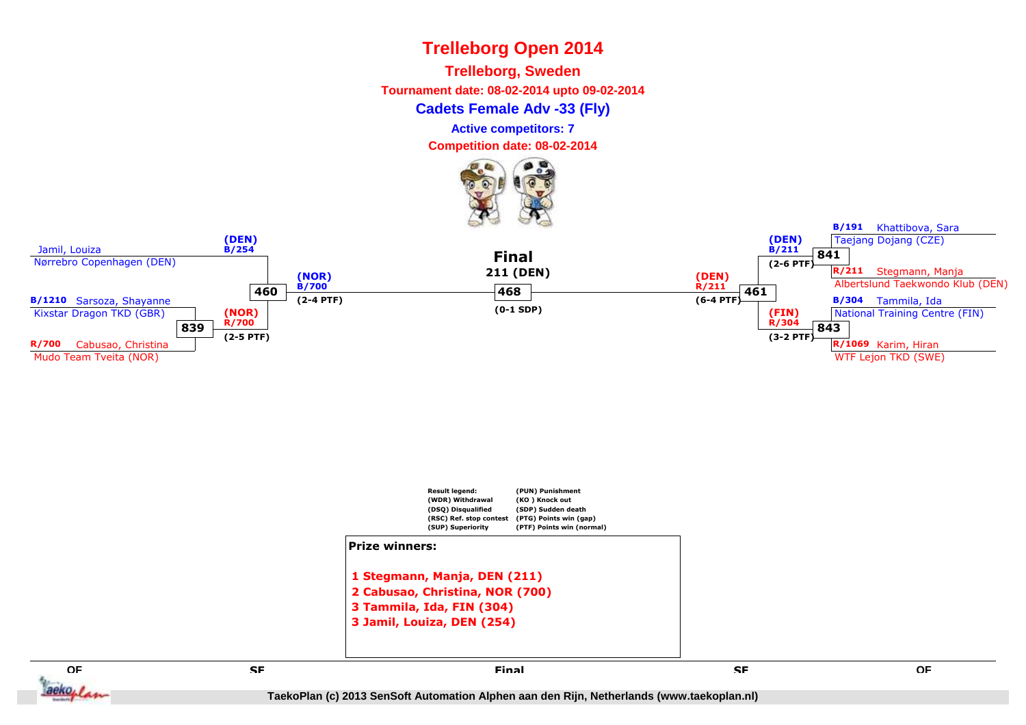**Trelleborg, Sweden**

**Tournament date: 08-02-2014 upto 09-02-2014**

**Cadets Female Adv -33 (Fly)**

**Active competitors: 7**

**Competition date: 08-02-2014**







**E** SE SE SE SE SE SERVICE EN L'ALGENCIA EN L'ALGENCIA EN L'ALGENCIA EN L'ALGENCIA EN L'ALGENCIA EN L'ALGENCIA<br>En la comparación de la comparación de la comparación de la comparación de la comparación de la comparación de

**QF**

aeko, /

 **SF Final**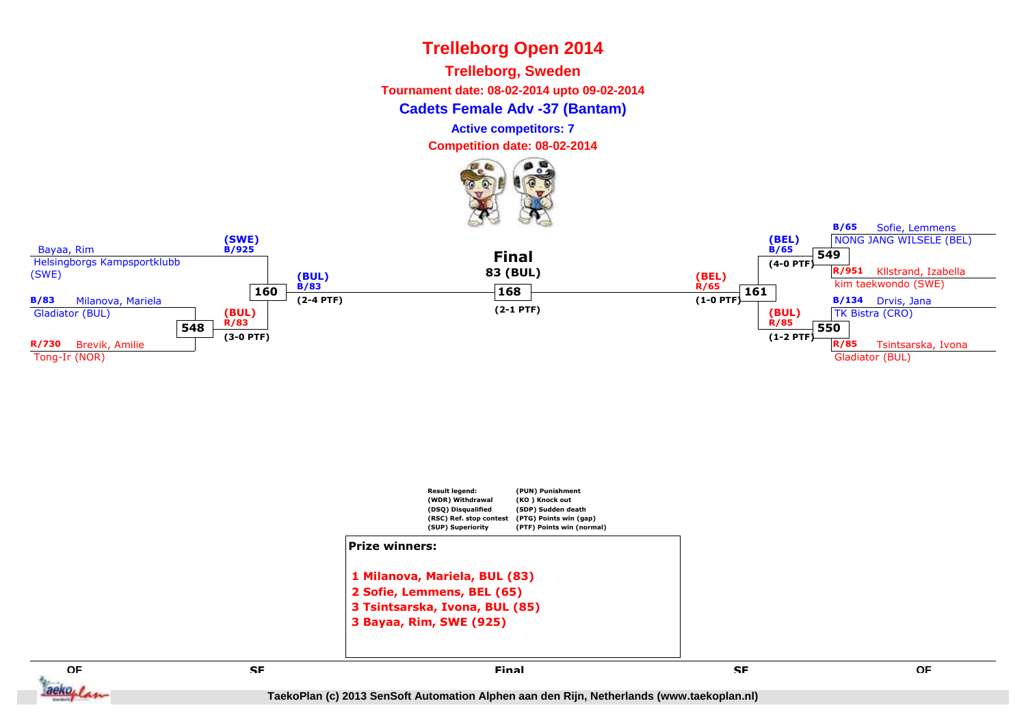**Trelleborg, Sweden**

**Tournament date: 08-02-2014 upto 09-02-2014**

**Cadets Female Adv -37 (Bantam)**

**Active competitors: 7**

**Competition date: 08-02-2014**









**QF**

aeko, I

**B/65**

Sofie, Lemmens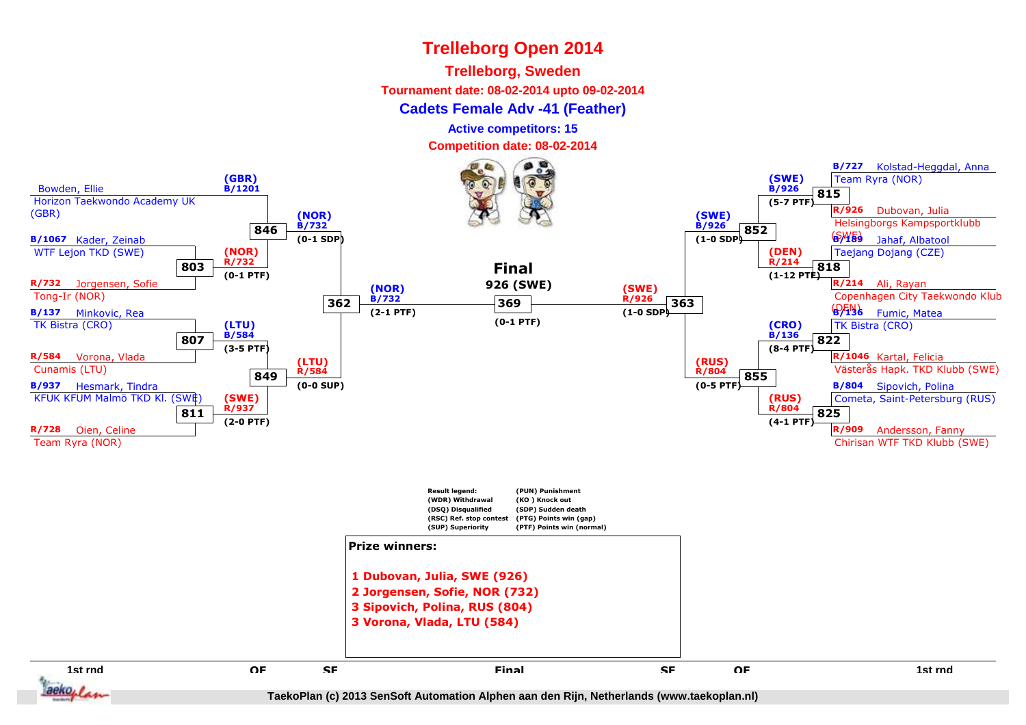#### **Trelleborg, Sweden**

**Tournament date: 08-02-2014 upto 09-02-2014**

#### **Cadets Female Adv -41 (Feather)**

**Active competitors: 15**

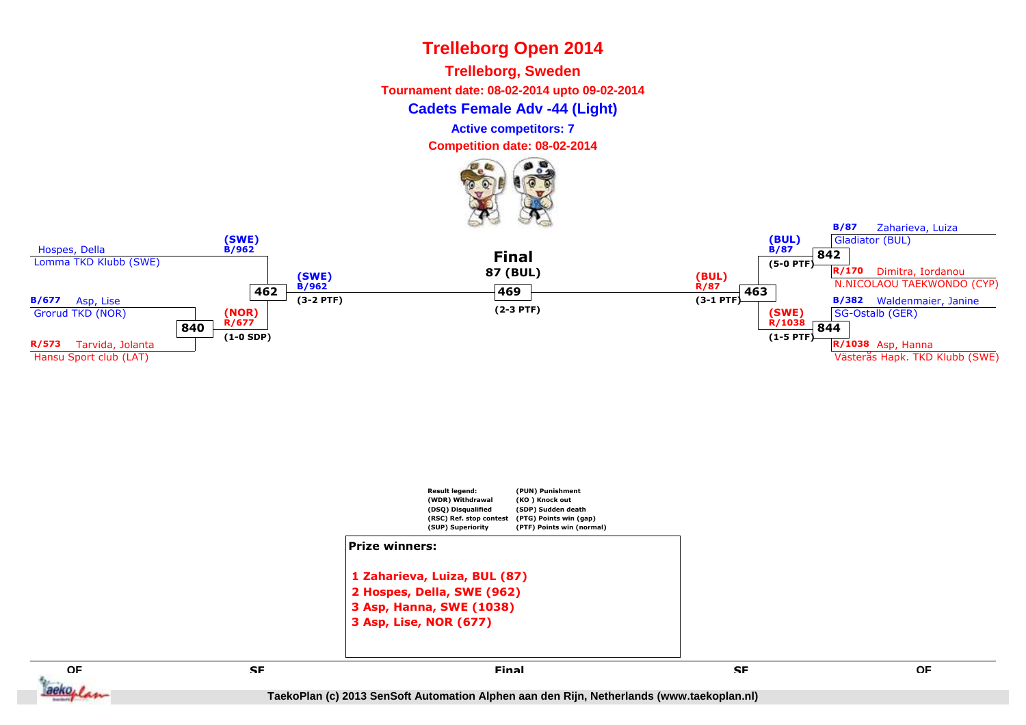**Trelleborg, Sweden**

**Tournament date: 08-02-2014 upto 09-02-2014**

**Cadets Female Adv -44 (Light)**

**Active competitors: 7**

**Competition date: 08-02-2014**







**E** SE SE SE SE SE SERVICE EN L'ALGENCIA EN L'ALGENCIA EN L'ALGENCIA EN L'ALGENCIA EN L'ALGENCIA EN L'ALGENCIA<br>En la comparación de la comparación de la comparación de la comparación de la comparación de la comparación de

**SF**

**QF**

aeko<sub>plan</sub>

**B/87**

Zaharieva, Luiza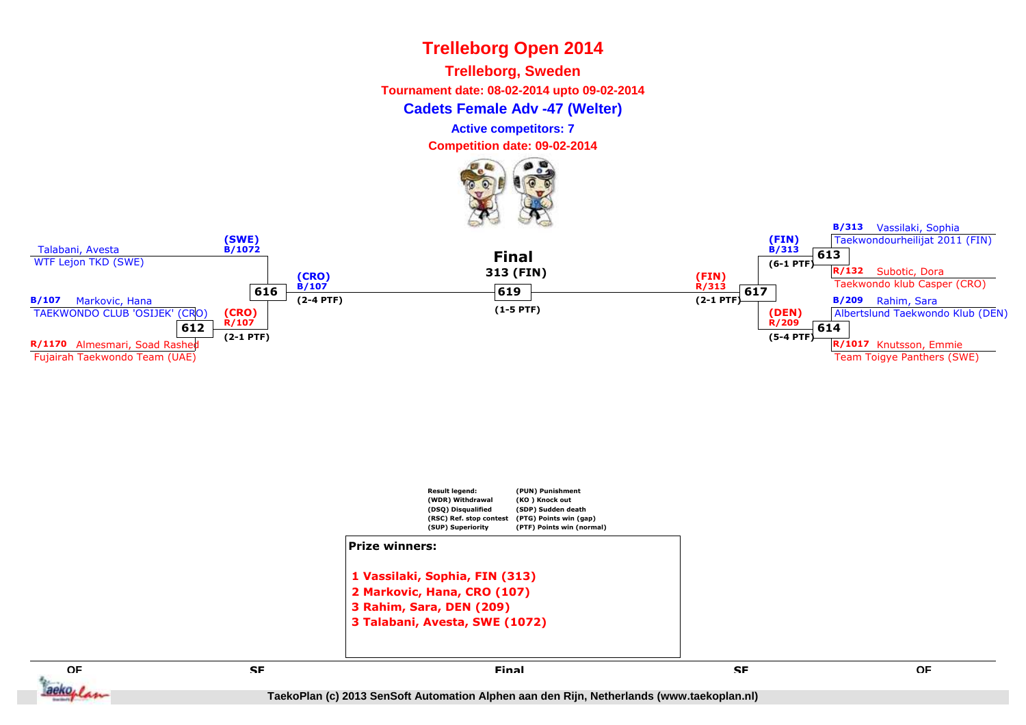**Trelleborg, Sweden**

**Tournament date: 08-02-2014 upto 09-02-2014**

**Cadets Female Adv -47 (Welter)**

**Active competitors: 7**

**Competition date: 09-02-2014**







**QFE** SE SE SE SE SE SERVICE EN L'ALGENCIA EN L'ALGENCIA EN L'ALGENCIA EN L'ALGENCIA EN L'ALGENCIA EN L'ALGENCIA<br>En la comparación de la comparación de la comparación de la comparación de la comparación de la comparación de

aeko, I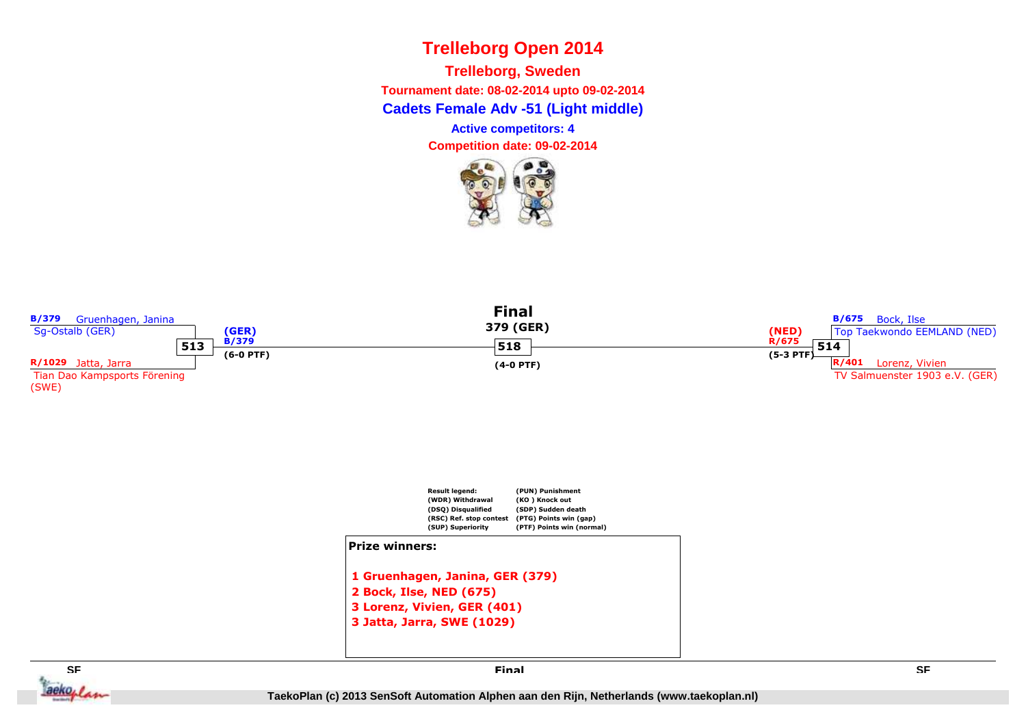**Cadets Female Adv -51 (Light middle) Trelleborg, SwedenTournament date: 08-02-2014 upto 09-02-2014**

**Active competitors: 4**



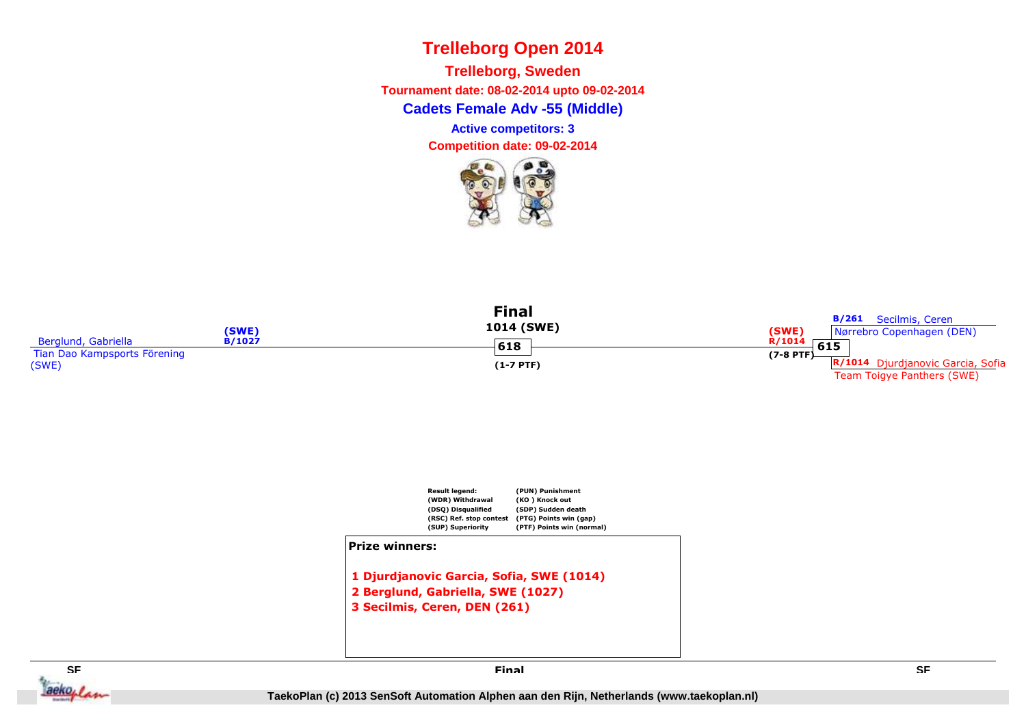**Cadets Female Adv -55 (Middle)Trelleborg, Sweden Tournament date: 08-02-2014 upto 09-02-2014Active competitors: 3**

**Competition date: 09-02-2014**









**Final**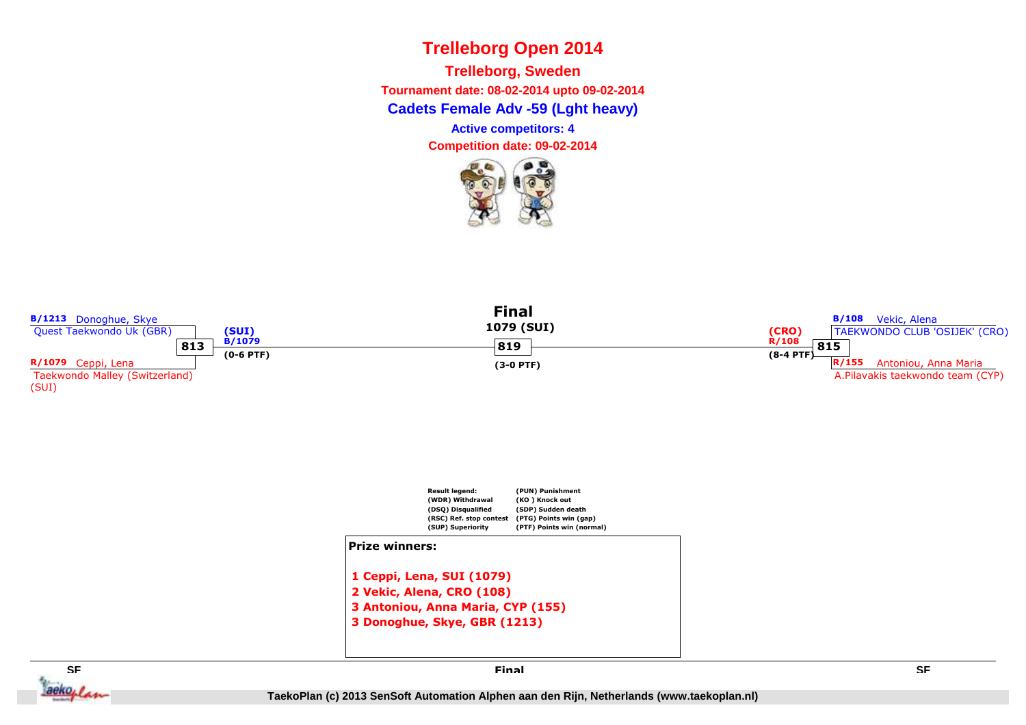**Cadets Female Adv -59 (Lght heavy) Trelleborg, SwedenTournament date: 08-02-2014 upto 09-02-2014**

**Active competitors: 4**



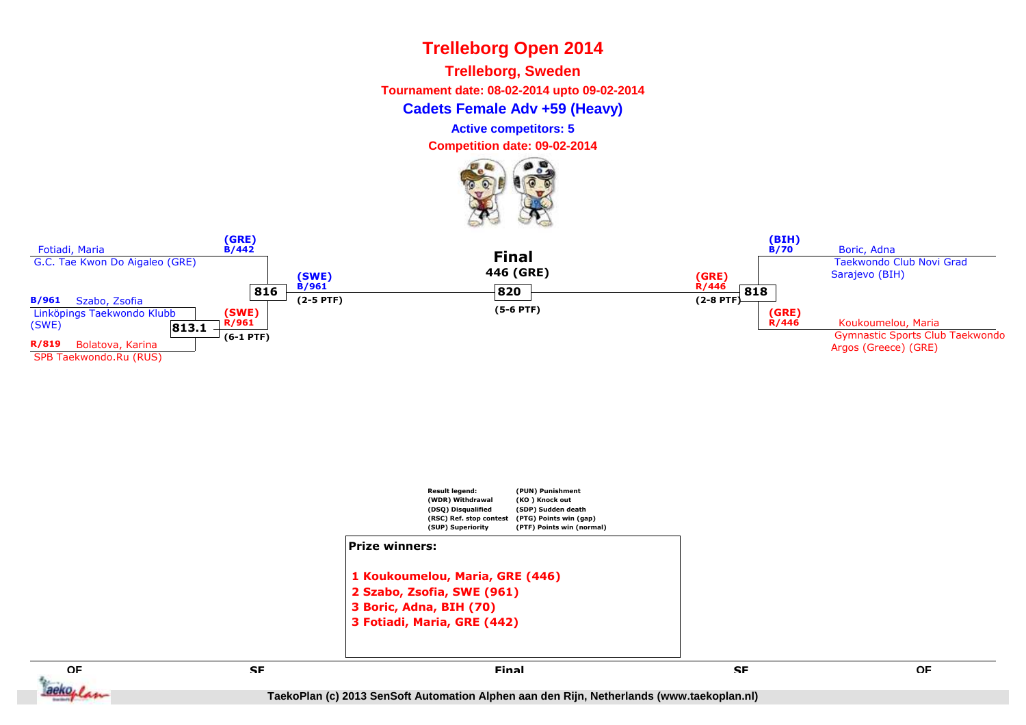**Trelleborg, Sweden**

**Tournament date: 08-02-2014 upto 09-02-2014**

**Cadets Female Adv +59 (Heavy)**

**Active competitors: 5**

**Competition date: 09-02-2014**







**QFE** SE SE SE SE SE SERVICE EN L'ALGENCIA EN L'ALGENCIA EN L'ALGENCIA EN L'ALGENCIA EN L'ALGENCIA EN L'ALGENCIA<br>En la comparación de la comparación de la comparación de la comparación de la comparación de la comparación de

aeko, /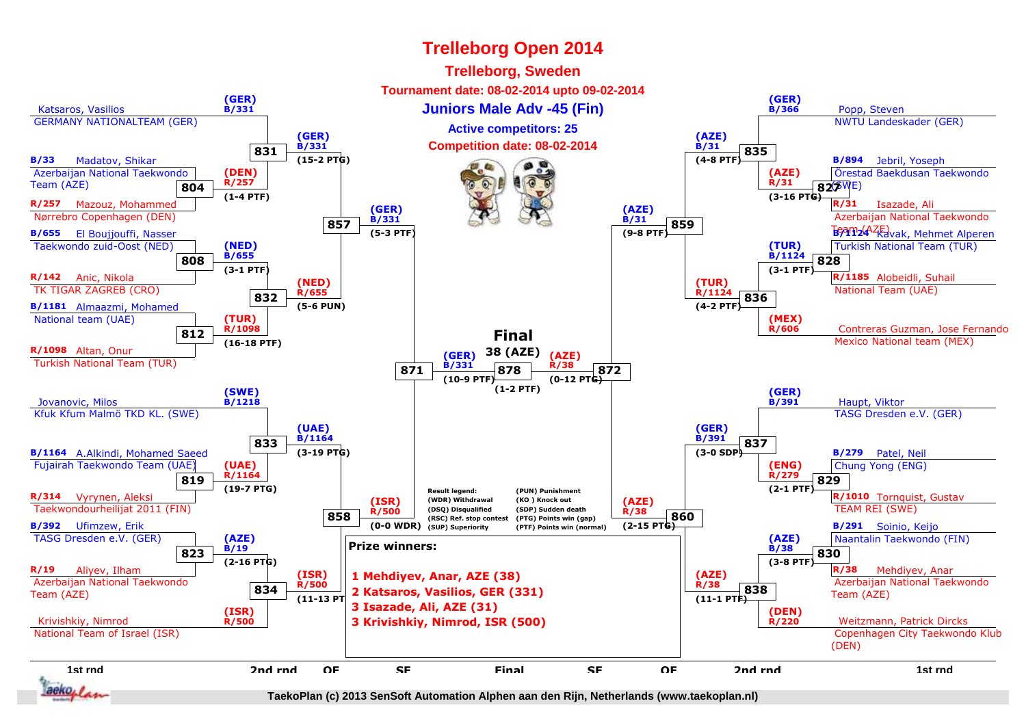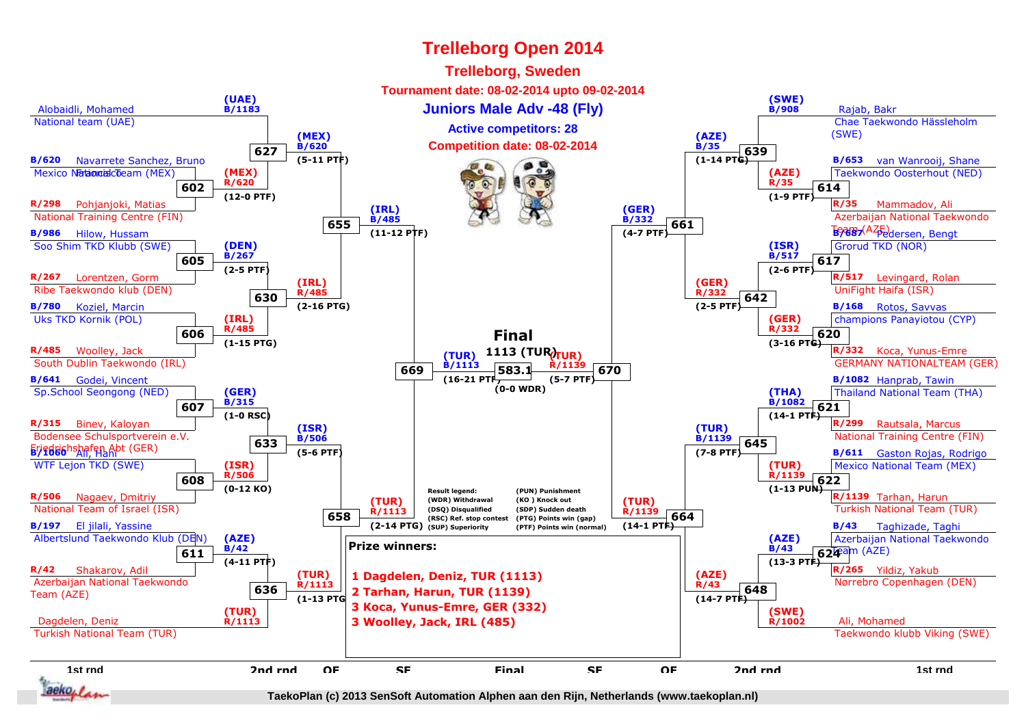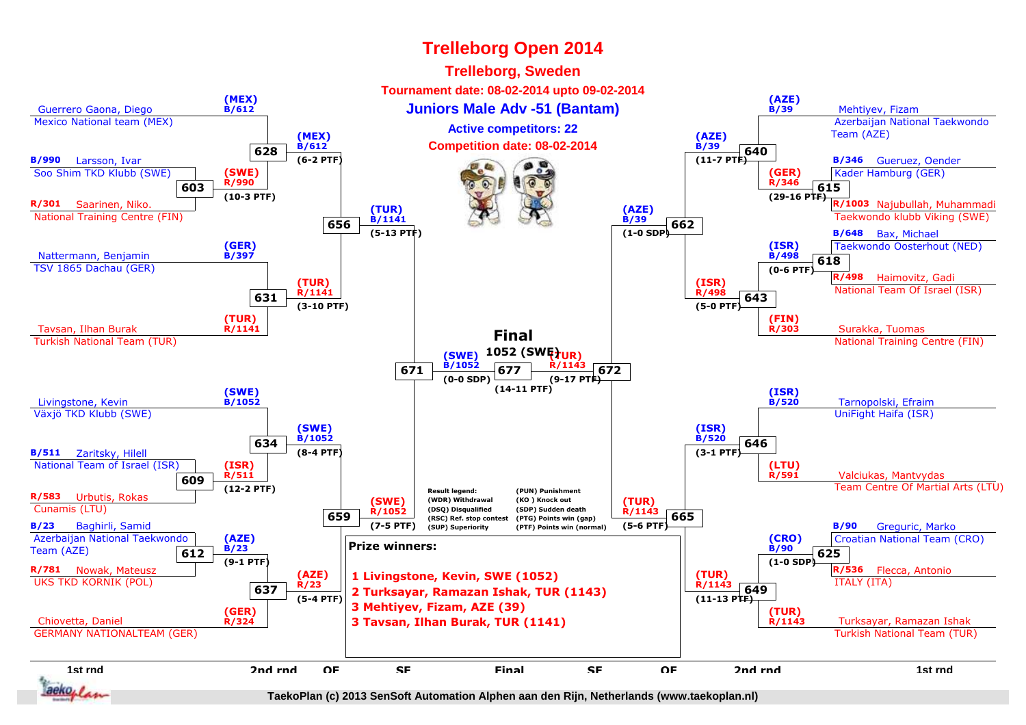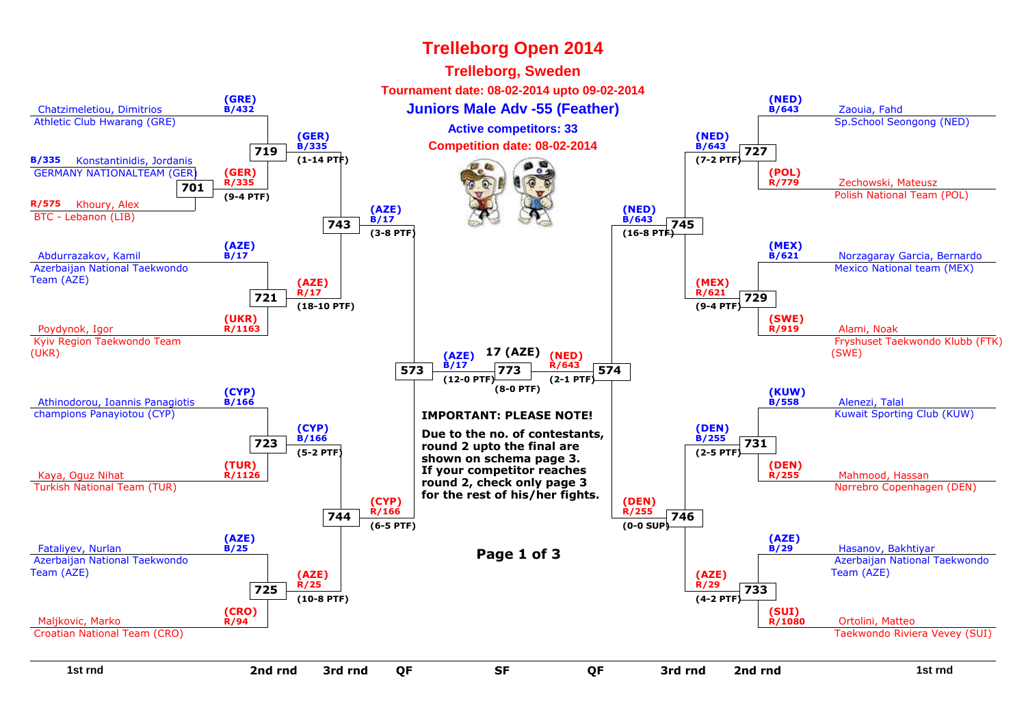#### Chatzimeletiou, Dimitrios Athletic Club Hwarang (GRE)**(GRE) B/432** Zaouia, Fahd**Juniors Male Adv -55 (Feather)** Sp.School Seongong (NED)**(NED) B/643B/335** Konstantinidis, Jordanis GERMANY NATIONALTEAM (GER) **701R/575** Khoury, Alex BTC - Lebanon (LIB)**(GER) R/335 (9-4 PTF)**Zechowski, Mateusz Polish National Team (POL)**(POL) R/779**Abdurrazakov, Kamil Azerbaijan National TaekwondoTeam (AZE)**(AZE) B/17** Norzagaray Garcia, Bernardo Mexico National team (MEX)**(MEX) B/621**Poydynok, Igor Kyiv Region Taekwondo Team(UKR)**(UKR) R/1163**a a shekarar 1980 - Alami, Noak a Shekara, 1980 - Alami, Noak a Shekara, 1980 - Alami, Noak a Shekara, 1980 - Fryshuset Taekwondo Klubb (FTK)(SWE)**(SWE) R/919**Athinodorou, Ioannis Panagiotis champions Panayiotou (CYP)**(CYP) B/166**<u>6</u> B/558 Alenezi, Talal Kuwait Sporting Club (KUW)**(KUW)B/558**Kaya, Oguz Nihat Turkish National Team (TUR)**(TUR) R/1126round 2, check only page 3**<br>**round 2, check only page 3**  Nørrebro Copenhagen (DEN)**(DEN) R/255**Fataliyev, Nurlan Azerbaijan National TaekwondoTeam (AZE)**(AZE) B/25**<u>Figure</u> 1 and **Page 1 of 3** and **B** and **Page 1 of 3** and **Page 1 and Page 1 of 3** and **Page 1 and Page 1 and Page 1 and Page 1** and Page 1 and Page 1 and Page 1 and Page 1 and Page 1 and Page 1 and Page 1 and Page 1 and Azerbaijan National TaekwondoTeam (AZE)**(AZE)B/29**Maljkovic, Marko Croatian National Team (CRO)**(CRO)R/94**er de la provincia de la provincia de la provincia de la provincia de la provincia de la provincia de la provi<br>De la provincia de la provincia de la provincia de la provincia de la provincia de la provincia de la provinci Taekwondo Riviera Vevey (SUI)**(SUI) R/1080719(GER) B/335 (1-14 PTF)727(NED) B/643 (7-2 PTF)721(AZE)R/17 (18-10 PTF)729(MEX) R/621 (9-4 PTF)723(CYP) B/166 (5-2 PTF)731(DEN) B/255 (2-5 PTF)725(AZE)R/25 (10-8 PTF)733(AZE)R/29 (4-2 PTF)743(AZE)B/17 (3-8 PTF)745(NED) B/643 (16-8 PTF)744(CYP) R/166 (6-5 PTF)746(DEN) R/255 (0-0 SUP)573(AZE)B/17 (12-0 PTF)574(NED) R/643 (2-1 PTF)773(8-0 PTF)IMPORTANT: PLEASE NOTE!Due to the no. of contestants,round 2 upto the final are shown on schema page 3. If your competitor reaches for the rest of his/her fights.17 (AZE)Trelleborg Open 2014Trelleborg, Sweden Tournament date: 08-02-2014 upto 09-02-2014Competition date: 08-02-2014Active competitors: 33**

#### **1st rnd**d a set of the set of the set of the set of the set of the set of the set of the set of the set of the set of the set of the set of the set of the set of the set of the set of the set of the set of the set of the set of th **2nd rnd 2nd rnd 3rd rnd**

**QF**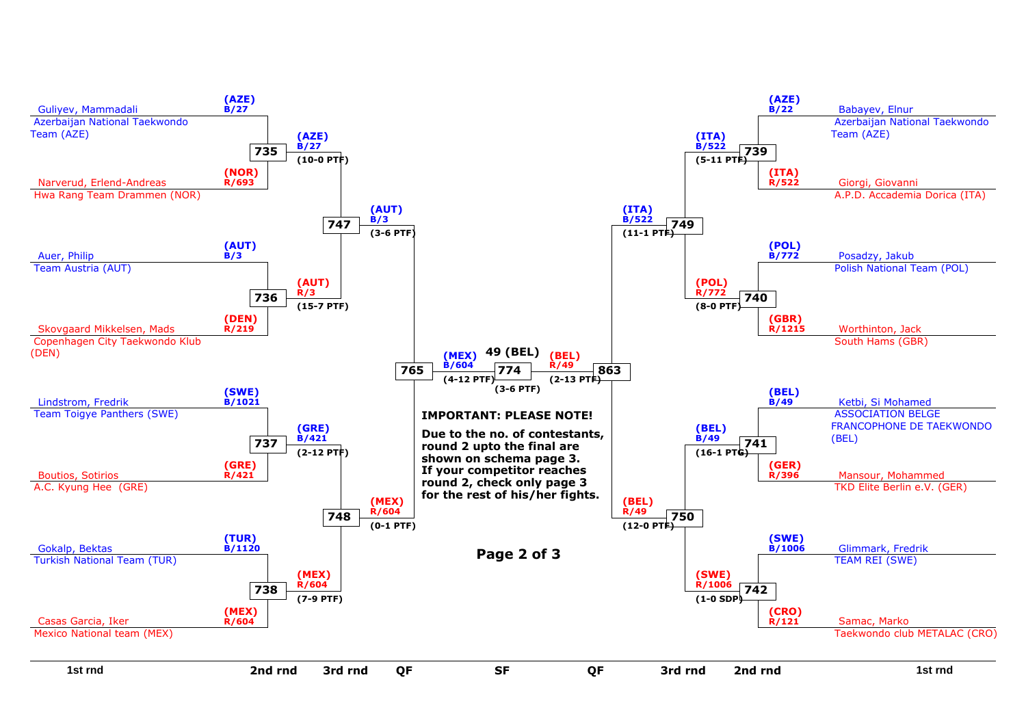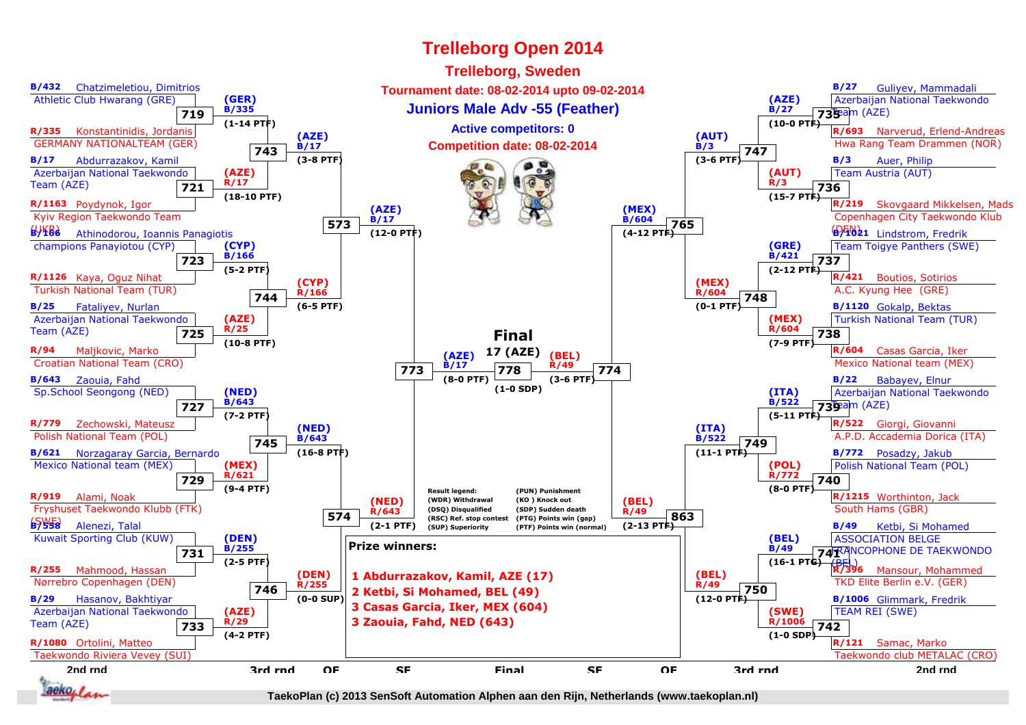#### **Trelleborg, SwedenB/432** Chatzimeletiou, Dimitrios**B/27** Guliyev, Mammadali **Tournament date: 08-02-2014 upto 09-02-2014** Athletic Club Hwarang (GRE)**(GER)(AZE)** Azerbaijan National Taekwondo**Juniors Male Adv -55 (Feather)B/27 B/335719735**eam (AZE) **(1-14 PTF) (10-0 PTF)Active competitors: 0R/335** Konstantinidis, Jordanis**R/693** Narverud, Erlend-Andreas **(AUT)(AZE)** GERMANY NATIONALTEAM (GER)**B/17Competition date: 08-02-2014 B/3** Hwa Rang Team Drammen (NOR)**743747B/17** Abdurrazakov, Kamil **(3-8 PTF) (3-6 PTF)** Auer, Philip**B/3** Azerbaijan National Taekwondo**(AZE)(AUT)** Team Austria (AUT)**R/3**Team (AZE)**R/17736 721 (18-10 PTF) (15-7 PTF)R/219** Skovgaard Mikkelsen, Mads **R/1163** Poydynok, Igor **(AZE)(MEX)** Kyiv Region Taekwondo Team Copenhagen City Taekwondo Klub**B/17 B/604573765**(UKR)**B/166**(DEN) **B/1021** Lindstrom, Fredrik **(12-0 PTF) (4-12 PTF)6** Athinodorou, Ioannis Panagiotis champions Panayiotou (CYP)**(GRE) (CYP)** Team Toigye Panthers (SWE) **B/166 B/421723737 (5-2 PTF) (2-12 PTF)R/421** Boutios, Sotirios **R/1126** Kaya, Oguz Nihat **(CYP)(MEX)** Turkish National Team (TUR) A.C. Kyung Hee (GRE) **R/166 R/604744748B/25** Fataliyev, Nurlan **(6-5 PTF) (0-1 PTF)B/1120** Gokalp, Bektas**(AZE)(MEX)** Azerbaijan National Taekwondo Turkish National Team (TUR)**R/25**Team (AZE) **R/604738 725Final (10-8 PTF) (7-9 PTF)R/94** Maljkovic, Marko **17 (AZE)R/604** Casas Garcia, Iker **(AZE)(BEL)** Mexico National team (MEX) Croatian National Team (CRO)**B/17R/49773778774 (8-0 PTF) (3-6 PTF)B/22** Babayev, Elnur **B/643** Zaouia, Fahd**(1-0 SDP)(NED)(ITA)** Azerbaijan National Taekwondo Sp.School Seongong (NED) **B/643 B/522727739**am (AZE) **(7-2 PTF) (5-11 PTF)R/779** Zechowski, Mateusz**R/522** Giorgi, Giovanni **(NED)(ITA)** Polish National Team (POL) A.P.D. Accademia Dorica (ITA) **B/643 B/522745749B/621** Norzagaray Garcia, Bernardo **(16-8 PTF) (11-1 PTF)B/772** Posadzy, Jakub Mexico National team (MEX)**(MEX)(POL)** Polish National Team (POL) **R/621 R/772729740 (9-4 PTF) (8-0 PTF)Result legend:(PUN) PunishmentR/1215** Worthinton, Jack **R/919** Alami, Noak**(NED) (WDR) Withdrawal(KO ) Knock out(BEL)** South Hams (GBR) **(DSQ) Disqualified** Fryshuset Taekwondo Klubb (FTK) **(SDP) Sudden deathR/49 R/643574863 (RSC) Ref. stop contest (PTG) Points win (gap)**(SWE)**B/558** Alenezi, Talal **(2-1 PTF) (2-13 PTF)B/49** Ketbi, Si Mohamed**(SUP) Superiority (PTF) Points win (normal)** Kuwait Sporting Club (KUW)**(DEN)(BEL)** ASSOCIATION BELGE**Prize winners: B/255 B/4974<sup>FRA</sup> 731** FRANCOPHONE DE TAEKWONDO **(2-5 PTF) (16-1 PTG)**(BEL) **R/396 R/255** Mahmood, Hassan Mansour, Mohammed**(DEN)(BEL)1 Abdurrazakov, Kamil, AZE (17)** TKD Elite Berlin e.V. (GER) Nørrebro Copenhagen (DEN)**R/49 R/2557462 Ketbi, Si Mohamed, BEL (49)750 B/29** Hasanov, Bakhtiyar **(0-0 SUP) (12-0 PTF)B/1006** Glimmark, Fredrik **3 Casas Garcia, Iker, MEX (604)** Azerbaijan National Taekwondo TEAM REI (SWE)**(SWE)(AZE)R/293 Zaouia, Fahd, NED (643)**Team (AZE) **R/1006742 733 (4-2 PTF) (1-0 SDP)R/121** Samac, Marko **R/1080** Ortolini, Matteo Taekwondo Riviera Vevey (SUI) Taekwondo club METALAC (CRO)**2nd rnd3rd rndQFSFFinal**d and the Seapon of Seapon of the Seapon Contract of the Seapon and the Seapon of the Seapon and the Seapon and the Seapon and the Seapon and the Seapon and the Seapon and the Seapon and the Seapon and the Seapon and the S d OF SF Final SF OF 3rd rnd<br>d F SF Final SF OF F Final SF aeko<sub>r</sub>

**Trelleborg Open 2014**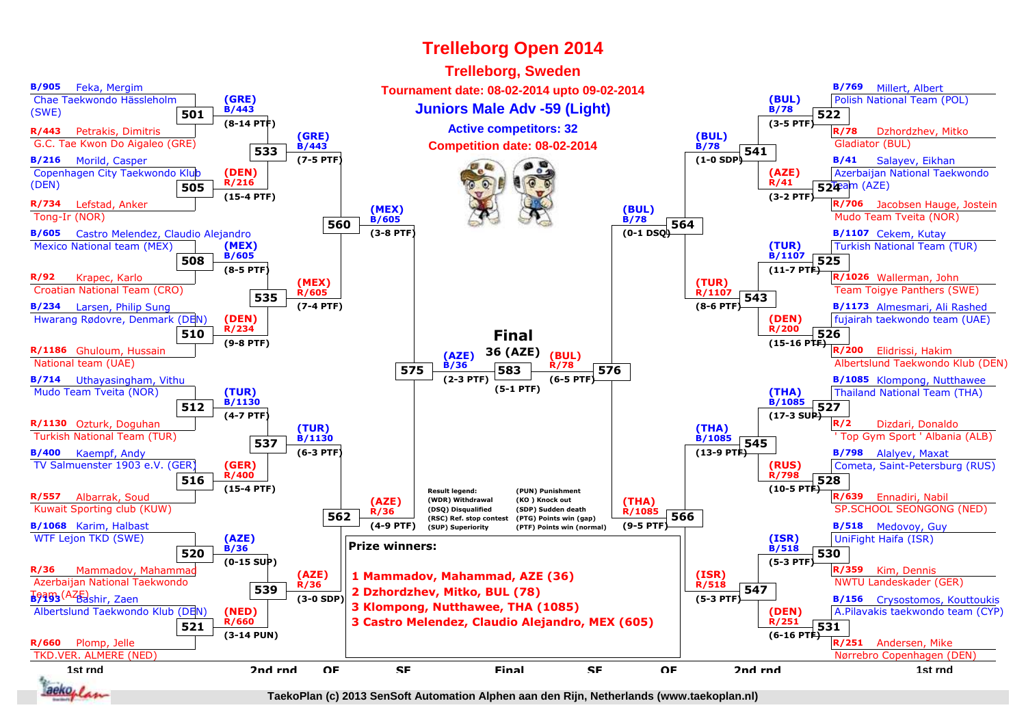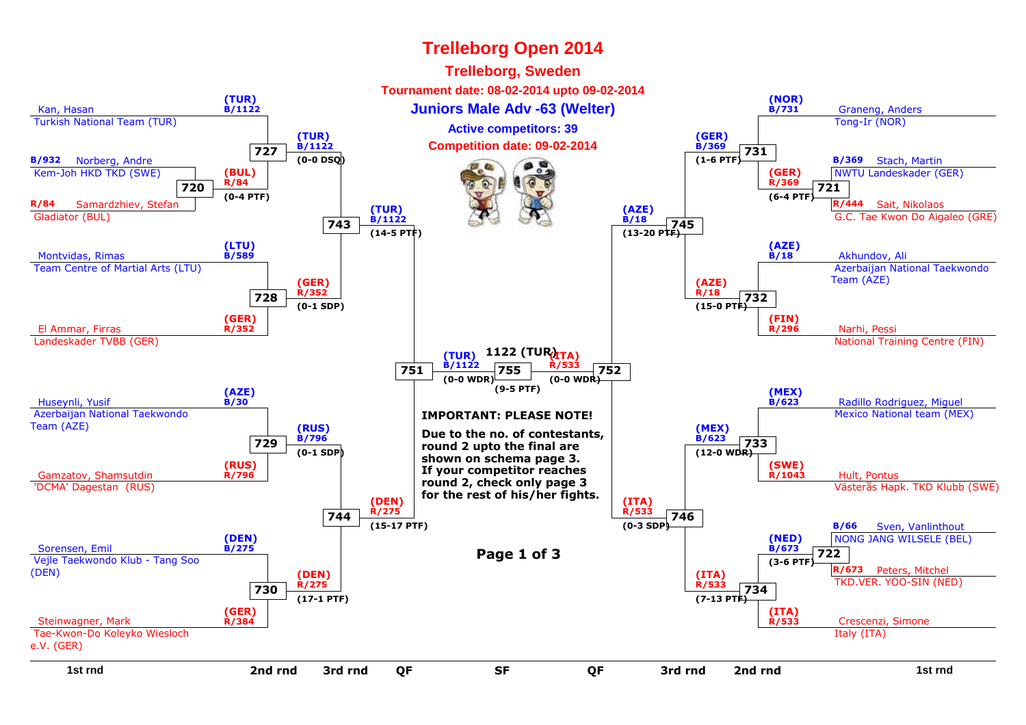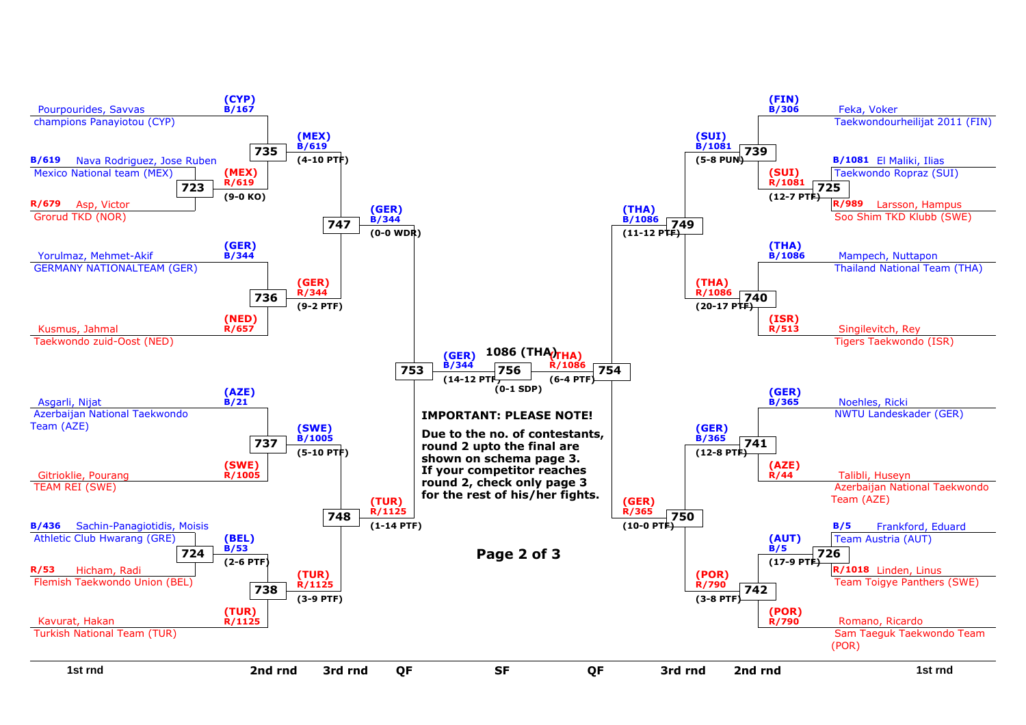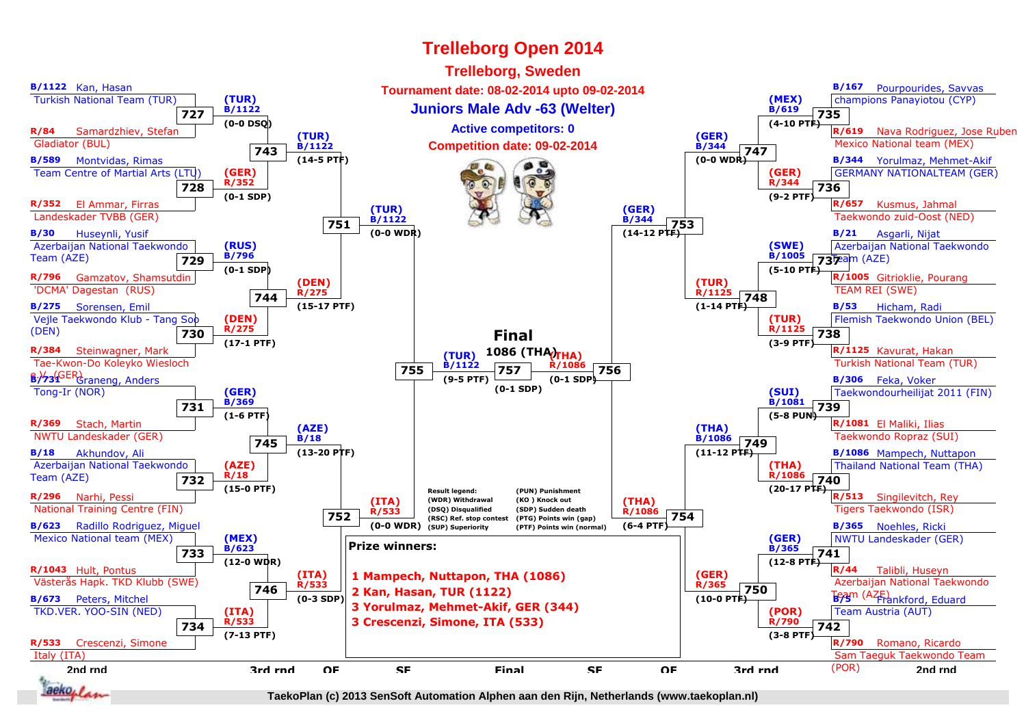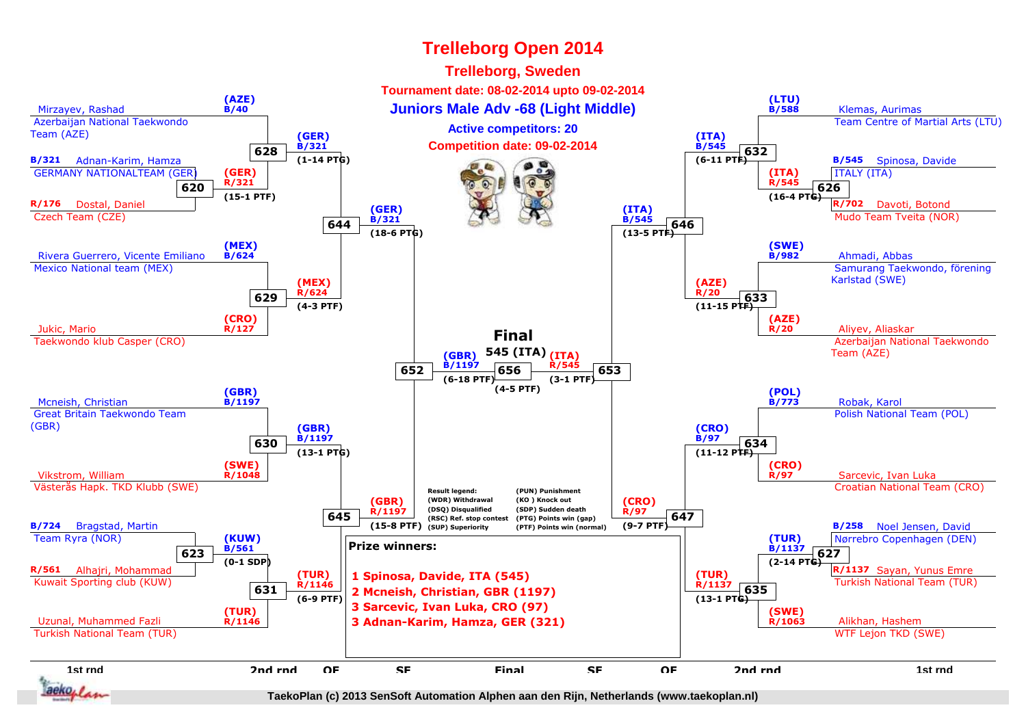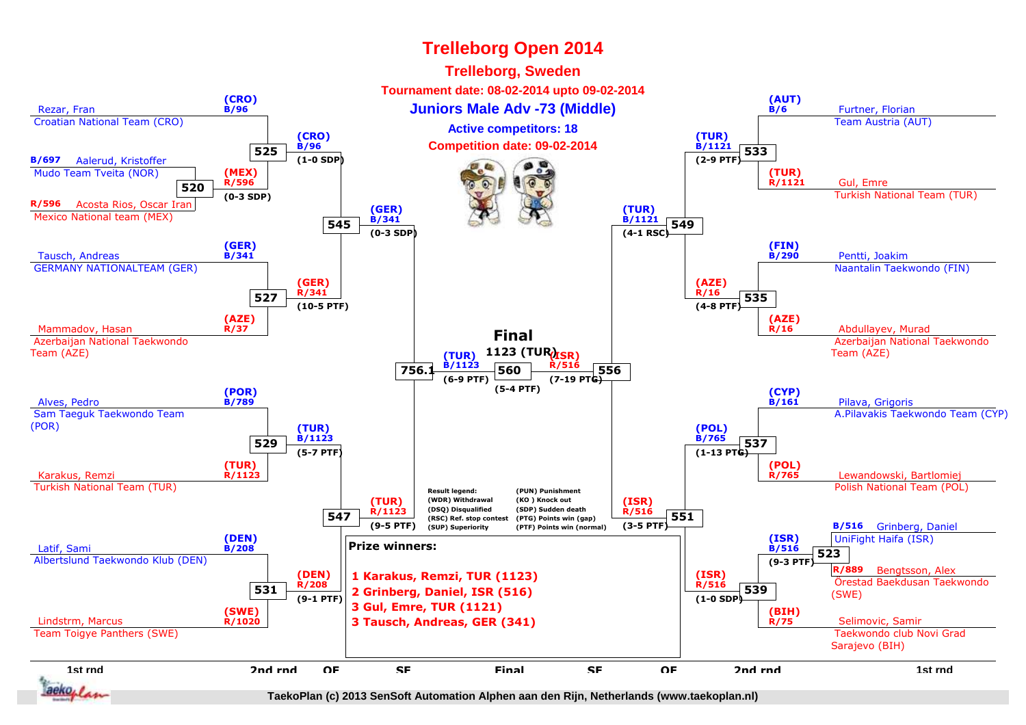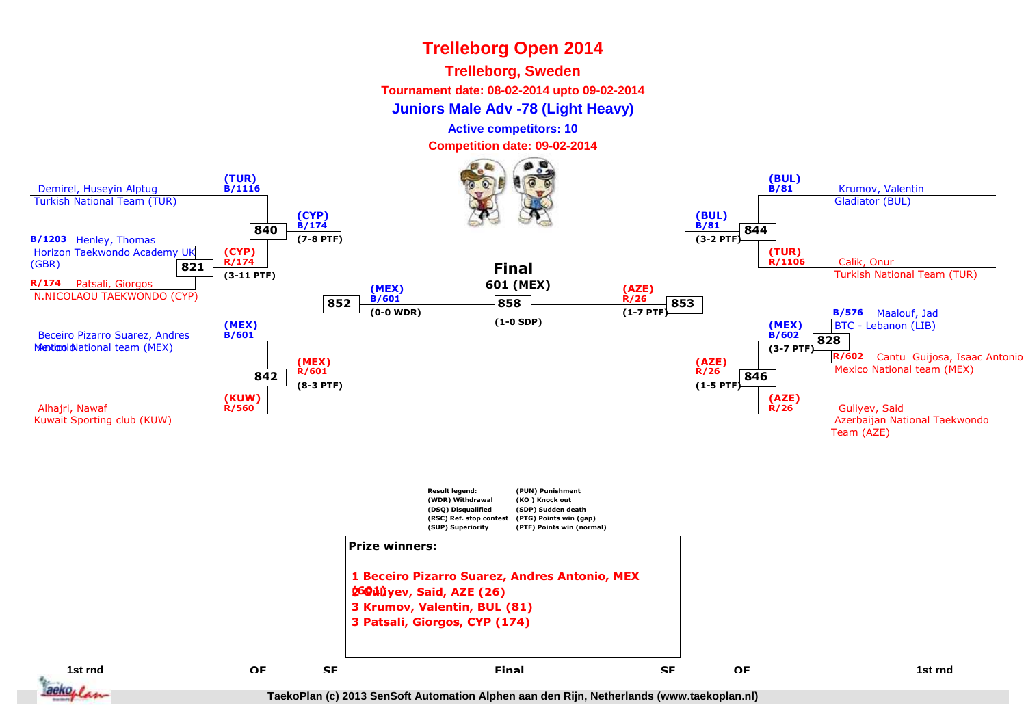### **Trelleborg, Sweden**

**Tournament date: 08-02-2014 upto 09-02-2014**

**Juniors Male Adv -78 (Light Heavy)**

**Active competitors: 10**

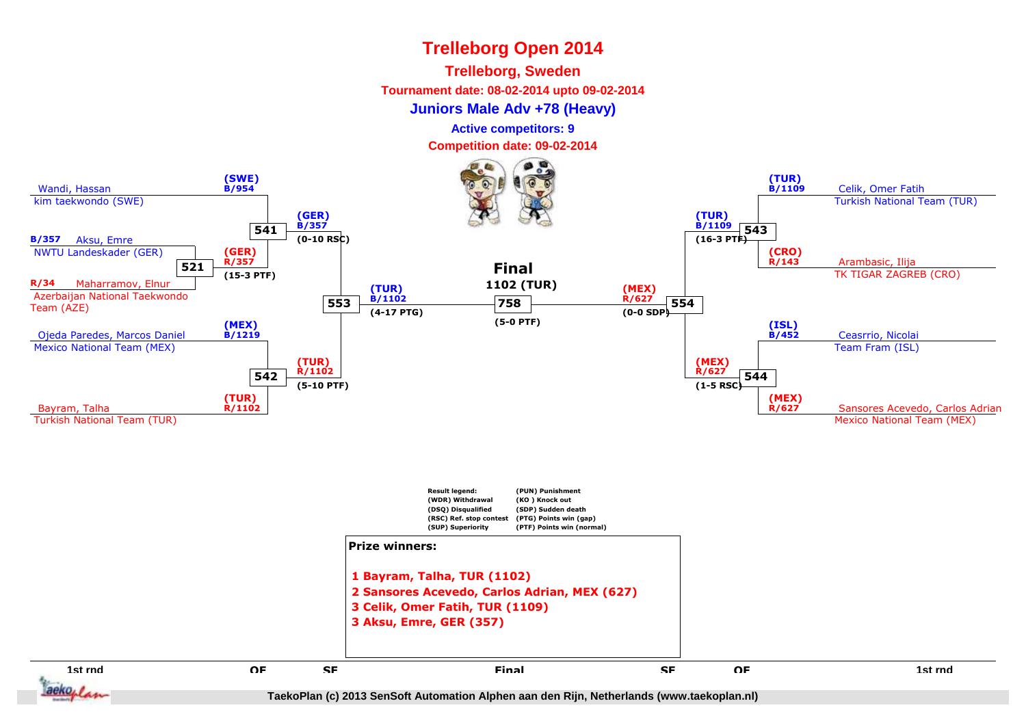#### **Trelleborg, Sweden**

**Tournament date: 08-02-2014 upto 09-02-2014**

#### **Juniors Male Adv +78 (Heavy)**

**Active competitors: 9**

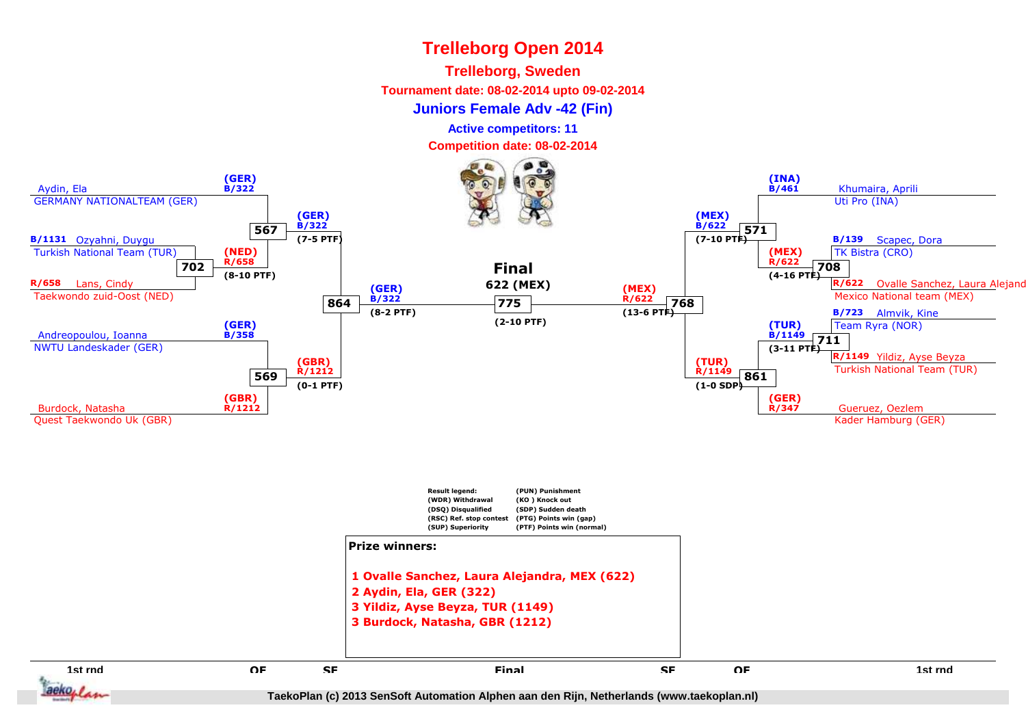#### **Trelleborg, Sweden**

**Tournament date: 08-02-2014 upto 09-02-2014**

**Juniors Female Adv -42 (Fin)**

**Active competitors: 11**

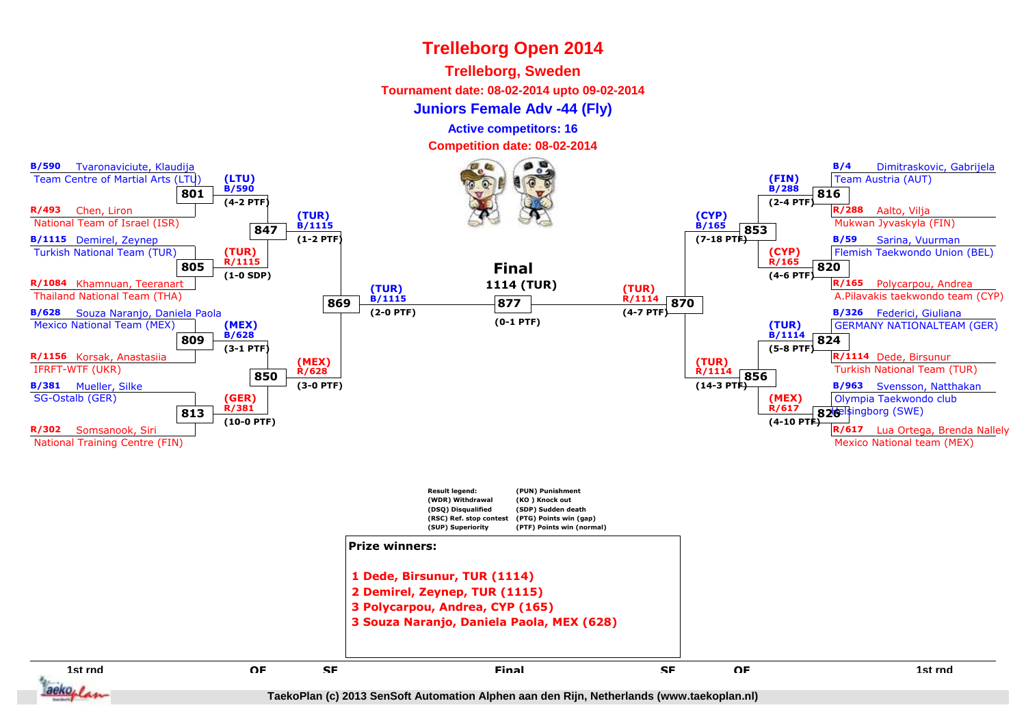#### **Trelleborg, Sweden**

**Tournament date: 08-02-2014 upto 09-02-2014**

**Juniors Female Adv -44 (Fly)**

**Active competitors: 16**

**Competition date: 08-02-2014**



aeko. I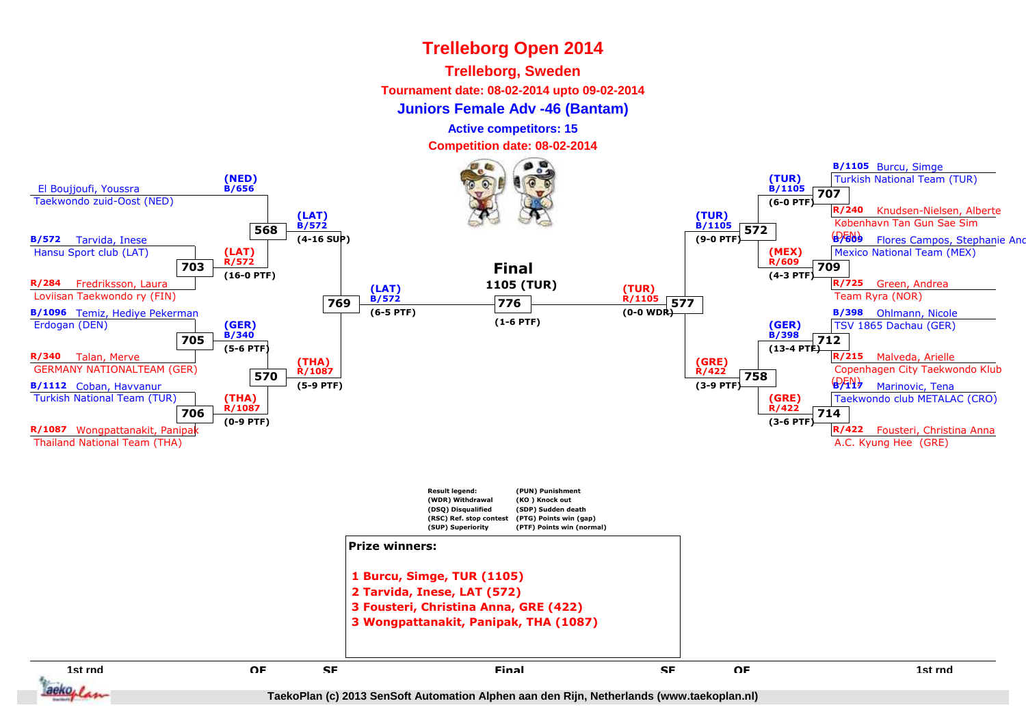### **Trelleborg, Sweden**

**Tournament date: 08-02-2014 upto 09-02-2014**

**Juniors Female Adv -46 (Bantam)**

**Active competitors: 15**

**Competition date: 08-02-2014**

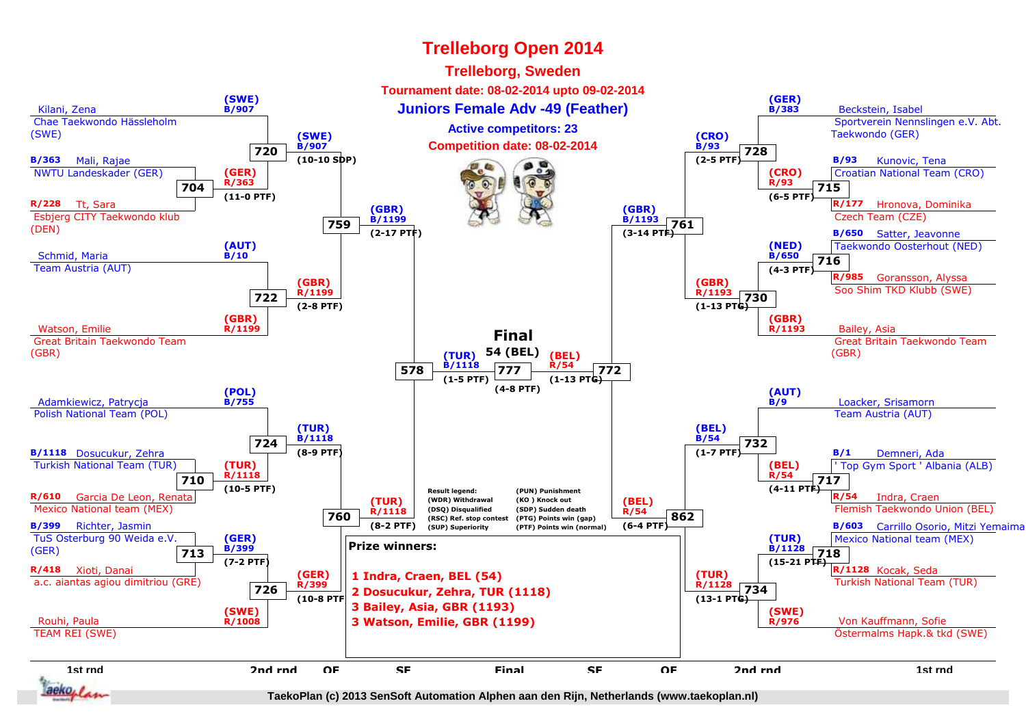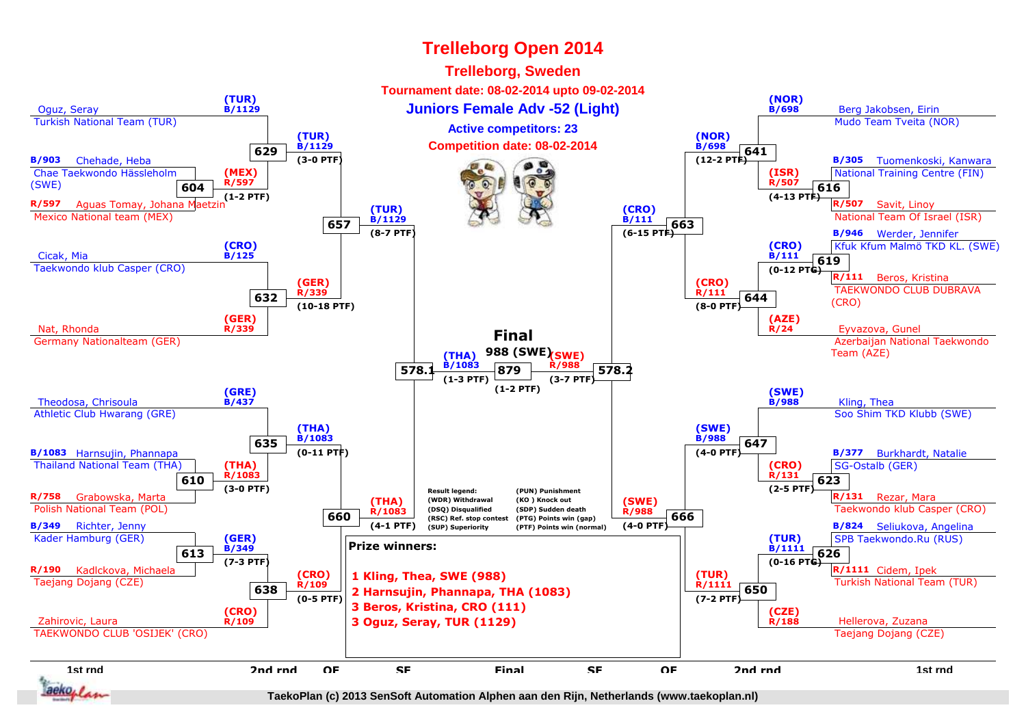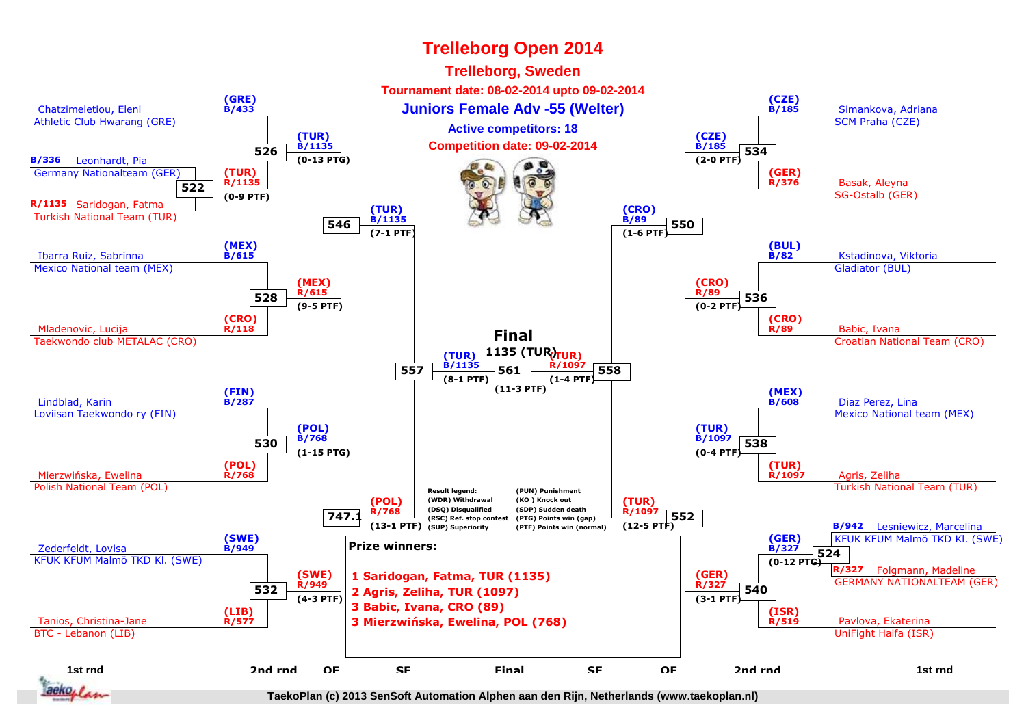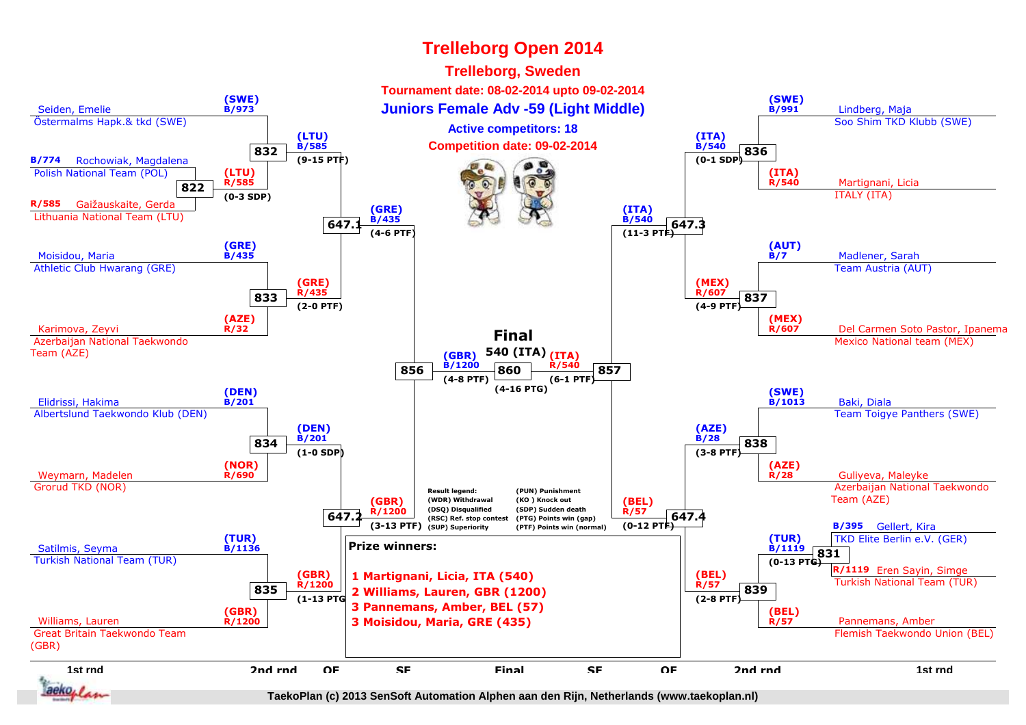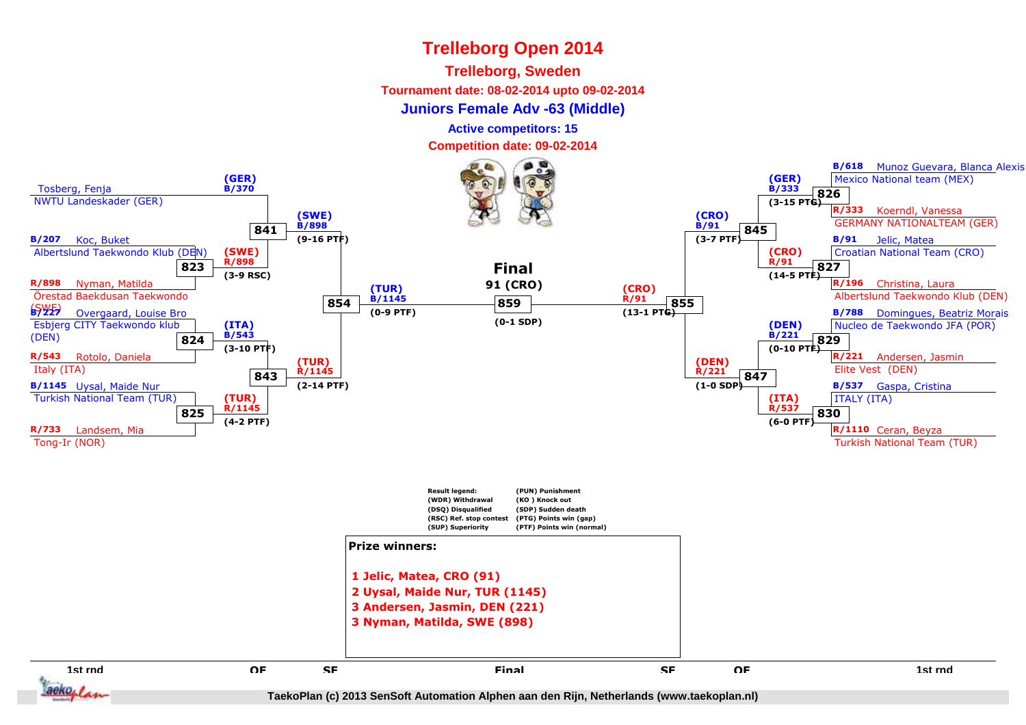#### **Trelleborg, Sweden**

**Tournament date: 08-02-2014 upto 09-02-2014**

#### **Juniors Female Adv -63 (Middle)**

**Active competitors: 15**

**Competition date: 09-02-2014**

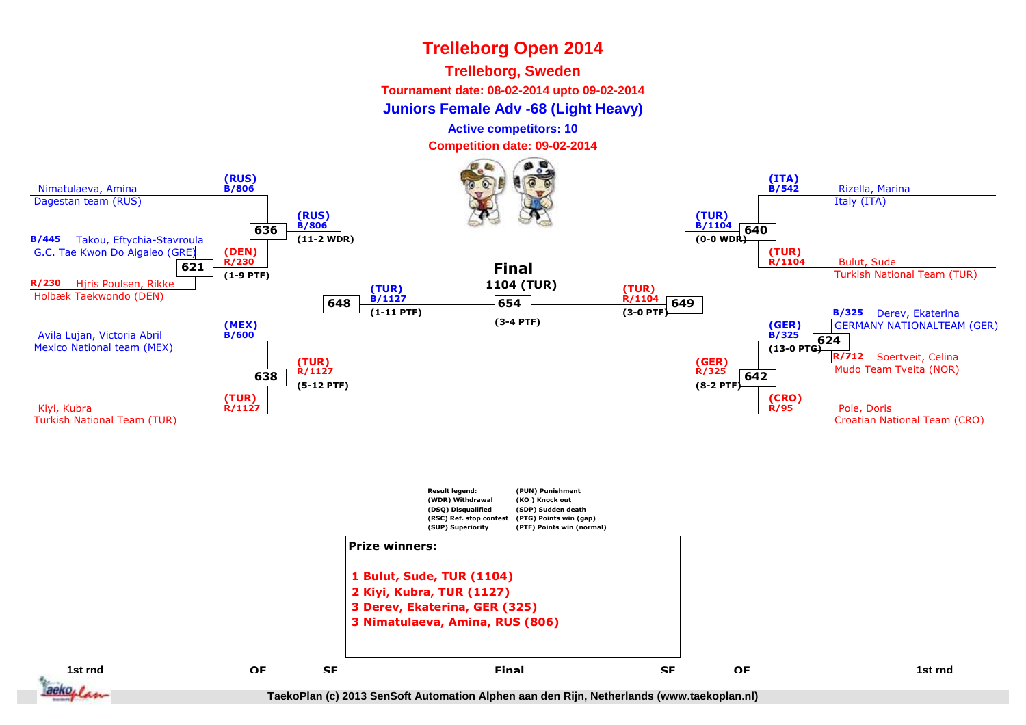### **Trelleborg, Sweden**

**Tournament date: 08-02-2014 upto 09-02-2014**

**Juniors Female Adv -68 (Light Heavy)**

**Active competitors: 10**